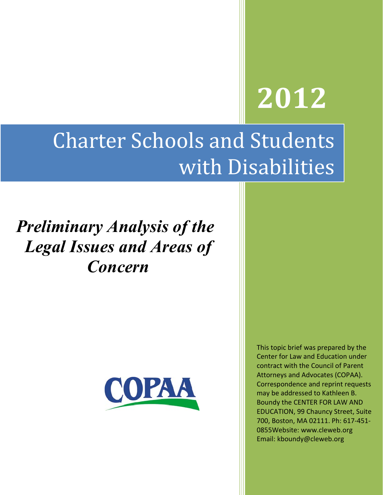# **2012**

## **Charter Schools and Students** with Disabilities

## *Preliminary Analysis of the Legal Issues and Areas of Concern*



This topic brief was prepared by the Center for Law and Education under contract with the Council of Parent Attorneys and Advocates (COPAA). Correspondence and reprint requests may be addressed to Kathleen B. Boundy the CENTER FOR LAW AND EDUCATION, 99 Chauncy Street, Suite 700, Boston, MA 02111. Ph: 617-451-0855Website: www.cleweb.org Email: kboundy@cleweb.org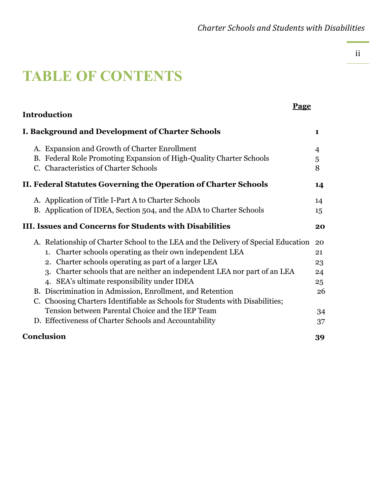### **TABLE OF CONTENTS**

| Page<br><b>Introduction</b>                                                                                                                                                                                                                                                                                                                                                                                                                                                                                                                                                                       |                                              |
|---------------------------------------------------------------------------------------------------------------------------------------------------------------------------------------------------------------------------------------------------------------------------------------------------------------------------------------------------------------------------------------------------------------------------------------------------------------------------------------------------------------------------------------------------------------------------------------------------|----------------------------------------------|
| I. Background and Development of Charter Schools                                                                                                                                                                                                                                                                                                                                                                                                                                                                                                                                                  | $\mathbf{1}$                                 |
| A. Expansion and Growth of Charter Enrollment<br>B. Federal Role Promoting Expansion of High-Quality Charter Schools<br>C. Characteristics of Charter Schools                                                                                                                                                                                                                                                                                                                                                                                                                                     | 4<br>5<br>8                                  |
| II. Federal Statutes Governing the Operation of Charter Schools                                                                                                                                                                                                                                                                                                                                                                                                                                                                                                                                   | 14                                           |
| A. Application of Title I-Part A to Charter Schools<br>B. Application of IDEA, Section 504, and the ADA to Charter Schools                                                                                                                                                                                                                                                                                                                                                                                                                                                                        | 14<br>15                                     |
| <b>III. Issues and Concerns for Students with Disabilities</b>                                                                                                                                                                                                                                                                                                                                                                                                                                                                                                                                    | 20                                           |
| A. Relationship of Charter School to the LEA and the Delivery of Special Education<br>Charter schools operating as their own independent LEA<br>1.<br>2. Charter schools operating as part of a larger LEA<br>3. Charter schools that are neither an independent LEA nor part of an LEA<br>4. SEA's ultimate responsibility under IDEA<br>B. Discrimination in Admission, Enrollment, and Retention<br>C. Choosing Charters Identifiable as Schools for Students with Disabilities;<br>Tension between Parental Choice and the IEP Team<br>D. Effectiveness of Charter Schools and Accountability | 20<br>21<br>23<br>24<br>25<br>26<br>34<br>37 |
| Conclusion                                                                                                                                                                                                                                                                                                                                                                                                                                                                                                                                                                                        | 39                                           |

ii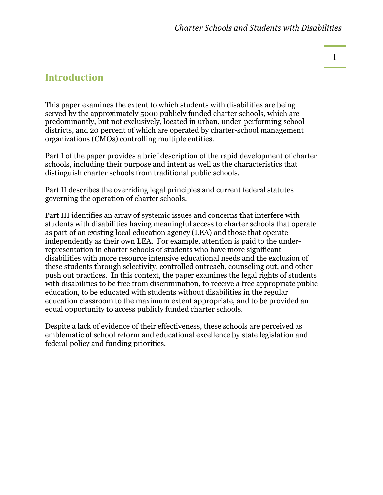#### **Introduction**

This paper examines the extent to which students with disabilities are being served by the approximately 5000 publicly funded charter schools, which are predominantly, but not exclusively, located in urban, under-performing school districts, and 20 percent of which are operated by charter-school management organizations (CMOs) controlling multiple entities.

Part I of the paper provides a brief description of the rapid development of charter schools, including their purpose and intent as well as the characteristics that distinguish charter schools from traditional public schools.

Part II describes the overriding legal principles and current federal statutes governing the operation of charter schools.

Part III identifies an array of systemic issues and concerns that interfere with students with disabilities having meaningful access to charter schools that operate as part of an existing local education agency (LEA) and those that operate independently as their own LEA. For example, attention is paid to the underrepresentation in charter schools of students who have more significant disabilities with more resource intensive educational needs and the exclusion of these students through selectivity, controlled outreach, counseling out, and other push out practices. In this context, the paper examines the legal rights of students with disabilities to be free from discrimination, to receive a free appropriate public education, to be educated with students without disabilities in the regular education classroom to the maximum extent appropriate, and to be provided an equal opportunity to access publicly funded charter schools.

Despite a lack of evidence of their effectiveness, these schools are perceived as emblematic of school reform and educational excellence by state legislation and federal policy and funding priorities.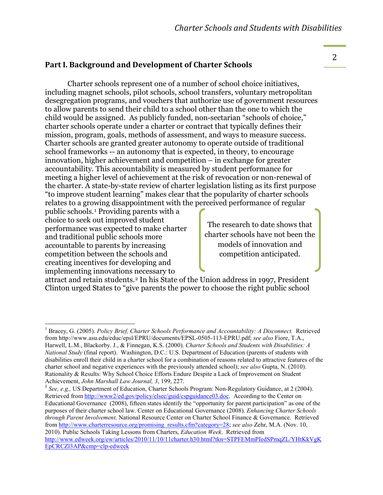#### **Part I. Background and Development of Charter Schools**

Charter schools represent one of a number of school choice initiatives, including magnet schools, pilot schools, school transfers, voluntary metropolitan desegregation programs, and vouchers that authorize use of government resources to allow parents to send their child to a school other than the one to which the child would be assigned. As publicly funded, non-sectarian "schools of choice," charter schools operate under a charter or contract that typically defines their mission, program, goals, methods of assessment, and ways to measure success. Charter schools are granted greater autonomy to operate outside of traditional school frameworks -- an autonomy that is expected, in theory, to encourage innovation, higher achievement and competition – in exchange for greater accountability. This accountability is measured by student performance for meeting a higher level of achievement at the risk of revocation or non-renewal of the charter. A state-by-state review of charter legislation listing as its first purpose "to improve student learning" makes clear that the popularity of charter schools relates to a growing disappointment with the perceived performance of regular

public schools.[1](#page-3-0) Providing parents with a choice to seek out improved student performance was expected to make charter and traditional public schools more accountable to parents by increasing competition between the schools and creating incentives for developing and implementing innovations necessary to

The research to date shows that charter schools have not been the models of innovation and competition anticipated.

attract and retain students.[2](#page-3-1) In his State of the Union address in 1997, President Clinton urged States to "give parents the power to choose the right public school

<span id="page-3-1"></span>2 *See, e.g.,* US Department of Education, Charter Schools Program: Non-Regulatory Guidance, at 2 (2004). Retrieved from [http://www2/ed.gov/policy/elsec/guid/cspguidance03.doc.](http://www2/ed.gov/policy/elsec/guid/cspguidance03.doc) According to the Center on Educational Governance (2008), fifteen states identify the "opportunity for parent participation" as one of the purposes of their charter school law. Center on Educational Governance (2008). *Enhancing Charter Schools through Parent Involvement,* National Resource Center on Charter School Finance & Governance. Retrieved from [http://www.charterresource.org/promising\\_results.cfm?category=28;](http://www.charterresource.org/promising_results.cfm?category=28) *see also* Zehr, M.A. (Nov. 10, 2010). Public Schools Taking Lessons from Charters, *Education Week*. Retrieved from [http://www.edweek.org/ew/articles/2010/11/10/11charter.h30.html?tkn=STPFEMmPIedSPmqZL/YHtKkVgK](http://www.edweek.org/ew/articles/2010/11/10/11charter.h30.html?tkn=STPFEMmPIedSPmqZL/YHtKkVgKEpCRCZl3AP&cmp=clp-edweek) [EpCRCZl3AP&cmp=clp-edweek](http://www.edweek.org/ew/articles/2010/11/10/11charter.h30.html?tkn=STPFEMmPIedSPmqZL/YHtKkVgKEpCRCZl3AP&cmp=clp-edweek)

<span id="page-3-0"></span><sup>&</sup>lt;sup>1</sup> Bracey, G. (2005). *Policy Brief, Charter Schools Performance and Accountability: A Disconnect.* Retrieved from http://www.asu.edu/educ/epsl/EPRU/documents/EPSL-0505-113-EPRU.pdf; *see also* Fiore, T.A., Harwell, L.M., Blackorby. J., & Finnegan, K.S. (2000). *Charter Schools and Students with Disabilities: A National Study* (final report). Washington, D.C.: U.S. Department of Education (parents of students with disabilities enroll their child in a charter school for a combination of reasons related to attractive features of the charter school and negative experiences with the previously attended school); *see also* Gupta, N. (2010). Rationality & Results: Why School Choice Efforts Endure Despite a Lack of Improvement on Student Achievement, *John Marshall Law Journal, 3*, 199, 227.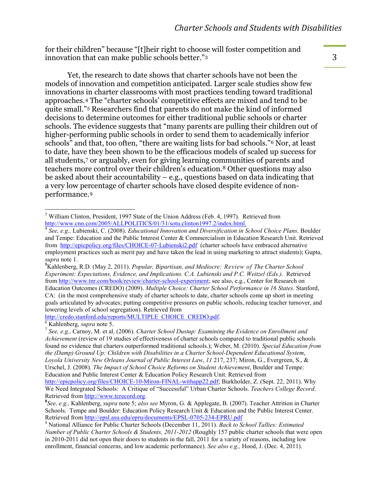for their children" because "[t]heir right to choose will foster competition and innovation that can make public schools better."[3](#page-4-0)

Yet, the research to date shows that charter schools have not been the models of innovation and competition anticipated. Larger scale studies show few innovations in charter classrooms with most practices tending toward traditional approaches. [4](#page-4-1) The "charter schools' competitive effects are mixed and tend to be quite small."[5](#page-4-2) Researchers find that parents do not make the kind of informed decisions to determine outcomes for either traditional public schools or charter schools. The evidence suggests that "many parents are pulling their children out of higher-performing public schools in order to send them to academically inferior schools" and that, too often, "there are waiting lists for bad schools."[6](#page-4-3) Nor, at least to date, have they been shown to be the efficacious models of scaled up success for all students,[7](#page-4-4) or arguably, even for giving learning communities of parents and teachers more control over their children's education.[8](#page-4-5) Other questions may also be asked about their accountability – e.g., questions based on data indicating that a very low percentage of charter schools have closed despite evidence of nonperformance.[9](#page-4-6)

lowering levels of school segregation). Retrieved from<br>http://credo.stanford.edu/reports/MULTIPLE CHOICE CREDO.pdf.

<span id="page-4-0"></span><sup>&</sup>lt;sup>3</sup> William Clinton, President, 1997 State of the Union Address (Feb. 4, 1997). Retrieved from http://www.cnn.com/2005/ALLPOLITICS/01/31/sotu.clinton1997.2/index.html.

<span id="page-4-1"></span><sup>&</sup>lt;sup>4</sup> See, e.g., Lubienski, C. (2008). *Educational Innovation and Diversification in School Choice Plans.* Boulder and Tempe: Education and the Public Interest Center & Commercialism in Education Research Unit. Retrieved from <http://epicpolicy.org/files/CHOICE-07-Lubienski2.pdf>(charter schools have embraced alternative employment practices such as merit pay and have taken the lead in using marketing to attract students); Gupta, *supra* note 1. **<sup>5</sup>**

<span id="page-4-2"></span><sup>&</sup>lt;sup>5</sup>Kahlenberg, R.D. (May 2, 2011). *Popular, Bipartisan, and Mediocre: Review of The Charter School Experiment: Expectations, Evidence, and Implications. C.A. Lubienski and P.C. Weitzel (Eds.)*. Retrieved from [http://www.tnr.com/book/review/charter-school-experiment;](http://www.tnr.com/book/review/charter-school-experiment) see also, e.g., Center for Research on Education Outcomes (CREDO) (2009). *Multiple Choice: Charter School Performance in 16 States*. Stanford, CA: (in the most comprehensive study of charter schools to date, charter schools come up short in meeting goals articulated by advocates; putting competitive pressures on public schools, reducing teacher turnover, and

<span id="page-4-4"></span><span id="page-4-3"></span><sup>&</sup>lt;sup>[6](http://credo.stanford.edu/reports/MULTIPLE_CHOICE_CREDO.pdf)</sup> Kahlenberg, *supra* note 5.<br><sup>7</sup> *See, e.g., Carnoy, M. et al. (2006). <i>Charter School Dustup: Examining the Evidence on Enrollment and Achievement* (review of 19 studies of effectiveness of charter schools compared to traditional public schools found no evidence that charters outperformed traditional schools.); Weber, M. (2010). *Special Education from the (Damp) Ground Up: Children with Disabilities in a Charter School-Dependent Educational System*, *Loyola University New Orleans Journal of Public Interest Law*, *11* 217, 237; Miron, G., Evergreen, S., & Urschel, J. (2008). *The Impact of School Choice Reforms on Student Achievement*, Boulder and Tempe: Education and Public Interest Center & Education Policy Research Unit. Retrieved from

[http://epicpolicy.org/files/CHOICE-10-Miron-FINAL-withapp22.pdf;](http://epicpolicy.org/files/CHOICE-10-Miron-FINAL-withapp22.pdf) Burkholder, Z. (Sept. 22, 2011). Why We Need Integrated Schools: A Critique of "Successful" Urban Charter Schools. *Teachers College Record*. Retrieved from [http://www.tcrecord.org.](http://www.tcrecord.org/) **<sup>8</sup>**

<span id="page-4-5"></span>*See, e.g.,* Kahlenberg, *supra* note 5; *also see* Myron, G. & Applegate, B. (2007). Teacher Attrition in Charter Schools. Tempe and Boulder: Education Policy Research Unit & Education and the Public Interest Center. Retrieved from http://epsl.asu.edu/epru/documents/EPSL-0705-234-EPRU.pdf <sup>9</sup> National Alliance for Public Charter Schools (December 11, 2011). *Back to School Tallies: Estimated* 

<span id="page-4-6"></span>*Number of Public Charter Schools & Students, 2011-2012* (Roughly 157 public charter schools that were open in 2010-2011 did not open their doors to students in the fall, 2011 for a variety of reasons, including low enrollment, financial concerns, and low academic performance). *See also e.g.,* Hood, J. (Dec. 4, 2011).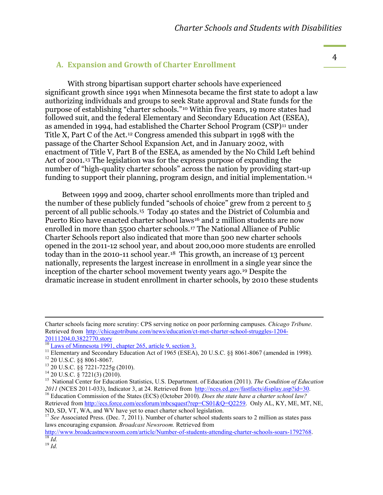#### **A.** Expansion and Growth of Charter Enrollment

With strong bipartisan support charter schools have experienced significant growth since 1991 when Minnesota became the first state to adopt a law authorizing individuals and groups to seek State approval and State funds for the purpose of establishing "charter schools."[10](#page-5-0) Within five years, 19 more states had followed suit, and the federal Elementary and Secondary Education Act (ESEA), as amended in 1994, had established the Charter School Program (CSP)[11](#page-5-1) under Title X, Part C of the Act.[12](#page-5-2) Congress amended this subpart in 1998 with the passage of the Charter School Expansion Act, and in January 2002, with enactment of Title V, Part B of the ESEA, as amended by the No Child Left behind Act of 2001.<sup>[13](#page-5-3)</sup> The legislation was for the express purpose of expanding the number of "high-quality charter schools" across the nation by providing start-up funding to support their planning, program design, and initial implementation.[14](#page-5-4)

Between 1999 and 2009, charter school enrollments more than tripled and the number of these publicly funded "schools of choice" grew from 2 percent to 5 percent of all public schools. [15](#page-5-5) Today 40 states and the District of Columbia and Puerto Rico have enacted charter school laws<sup>[16](#page-5-6)</sup> and 2 million students are now enrolled in more than 5500 charter schools.[17](#page-5-7) The National Alliance of Public Charter Schools report also indicated that more than 500 new charter schools opened in the 2011-12 school year, and about 200,000 more students are enrolled today than in the 2010-11 school year.<sup>18</sup> This growth, an increase of 13 percent nationally, represents the largest increase in enrollment in a single year since the inception of the charter school movement twenty years ago.[19](#page-5-9) Despite the dramatic increase in student enrollment in charter schools, by 2010 these students

%%%%%%%%%%%%%%%%%%%%%%%%%%%%%%%%%%%%%%%%%%%%%%%%%%%%%%%%%%%%%%%%%%%%%%%%%%%%%%%%%%%%%%%%%%%%%%%%%%%%%%%%%%%%%%%%%%%%%%%%%%%%%%%%%%%%%%%%%%%%%%%%%%%%%%%%%%%%%%%%%%%%%%%%%%%%%%%%%

Charter schools facing more scrutiny: CPS serving notice on poor performing campuses. *Chicago Tribune*. Retrieved from [http://chicagotribune.com/news/education/ct-met-charter-school-struggles-1204-](http://chicagotribune.com/news/education/ct-met-charter-school-struggles-1204-20111204,0,3822770.story)

 $\frac{20111204,0,3822770,\text{stor}}{10 \text{ Laws of Minnesota } 1991, \text{ chapter } 265, \text{ article } 9, \text{section } 3.}$ 

<span id="page-5-3"></span>

<span id="page-5-5"></span><span id="page-5-4"></span>

<span id="page-5-2"></span><span id="page-5-1"></span><span id="page-5-0"></span><sup>&</sup>lt;sup>11</sup> Elementary and Secondary Education Act of 1965 (ESEA), 20 U.S.C. §§ 8061-8067 (amended in 1998).<br><sup>12</sup> 20 U.S.C. §§ 8061-8067.<br><sup>13</sup> 20 U.S.C. §§ 7221-7225g (2010).<br><sup>14</sup> 20 U.S.C. § 7221(3) (2010).<br><sup>15</sup> National Center <sup>16</sup> Education Commission of the States (ECS) (October 2010). *Does the state have a charter school law?* Retrieved from [http://ecs.force.com/ecsforum/mbcsquest?rep=CS01&Q=Q2259.](http://ecs.force.com/ecsforum/mbcsquest?rep=CS01&Q=Q2259) Only AL, KY, ME, MT, NE, ND, SD, VT, WA, and WV have yet to enact charter school legislation.

<span id="page-5-7"></span><span id="page-5-6"></span><sup>&</sup>lt;sup>17</sup> See Associated Press. (Dec. 7, 2011). Number of charter school students soars to 2 million as states pass laws encouraging expansion*. Broadcast Newsroom.* Retrieved from

<span id="page-5-8"></span>[http://www.broadcastnewsroom.com/article/Number-of-students-attending-charter-schools-soars-1792768.](http://www.broadcastnewsroom.com/article/Number-of-students-attending-charter-schools-soars-1792768) <sup>18</sup> *Id.* <sup>19</sup> *Id.*

<span id="page-5-9"></span>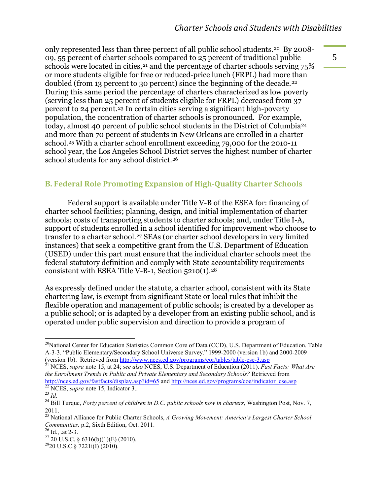only represented less than three percent of all public school students.[20](#page-6-0) By 2008- 09, 55 percent of charter schools compared to 25 percent of traditional public schools were located in cities,<sup>[21](#page-6-1)</sup> and the percentage of charter schools serving 75% or more students eligible for free or reduced-price lunch (FRPL) had more than doubled (from 13 percent to 30 percent) since the beginning of the decade.<sup>[22](#page-6-2)</sup> During this same period the percentage of charters characterized as low poverty (serving less than 25 percent of students eligible for FRPL) decreased from 37 percent to 24 percent.[23](#page-6-3) In certain cities serving a significant high-poverty population, the concentration of charter schools is pronounced. For example, today, almost 40 percent of public school students in the District of Columbia[24](#page-6-4) and more than 70 percent of students in New Orleans are enrolled in a charter school.[25](#page-6-5) With a charter school enrollment exceeding 79,000 for the 2010-11 school year, the Los Angeles School District serves the highest number of charter school students for any school district.<sup>[26](#page-6-6)</sup>

#### **B. Federal Role Promoting Expansion of High-Quality Charter Schools**

Federal support is available under Title V-B of the ESEA for: financing of charter school facilities; planning, design, and initial implementation of charter schools; costs of transporting students to charter schools; and, under Title I-A, support of students enrolled in a school identified for improvement who choose to transfer to a charter school.<sup>[27](#page-6-7)</sup> SEAs (or charter school developers in very limited instances) that seek a competitive grant from the U.S. Department of Education (USED) under this part must ensure that the individual charter schools meet the federal statutory definition and comply with State accountability requirements consistent with ESEA Title V-B-1, Section  $5210(1).^{28}$ 

As expressly defined under the statute, a charter school, consistent with its State chartering law, is exempt from significant State or local rules that inhibit the flexible operation and management of public schools; is created by a developer as a public school; or is adapted by a developer from an existing public school, and is operated under public supervision and direction to provide a program of

<span id="page-6-0"></span> $^{20}$ National Center for Education Statistics Common Core of Data (CCD), U.S. Department of Education. Table A-3-3. "Public Elementary/Secondary School Universe Survey." 1999-2000 (version 1b) and 2000-2009 (version 1b). Retrieved from<http://www.nces.ed.gov/programs/cor/tables/table-cse-3.asp> <sup>21</sup> NCES, *supra* note 15, at 24; *see also* NCES, U.S. Department of Education (2011). *Fast Facts: What Are* 

<span id="page-6-1"></span>*the Enrollment Trends in Public and Private Elementary and Secondary Schools?* Retrieved from <http://nces.ed.gov/fastfacts/display.asp?id=65> and [http://nces.ed.gov/programs/coe/indicator\\_cse.asp](http://nces.ed.gov/programs/coe/indicator_cse.asp) <sup>22</sup> NCES, *supra* note 15, Indicator 3.. <sup>23</sup> *Id* 

<span id="page-6-2"></span>

<span id="page-6-3"></span>

<span id="page-6-4"></span><sup>&</sup>lt;sup>24</sup> Bill Turque, *Forty percent of children in D.C. public schools now in charters*, Washington Post, Nov. 7, 2011.

<span id="page-6-5"></span><sup>25</sup> National Alliance for Public Charter Schools, *A Growing Movement: America's Largest Charter School Communities, p.2, Sixth Edition, Oct. 2011.*<br><sup>26</sup> Id., .at 2-3.<br><sup>27</sup> 20 U.S.C. § 6316(b)(1)(E) (2010).<br><sup>28</sup> 20 U.S.C.§ 7221i(I) (2010).

<span id="page-6-6"></span>

<span id="page-6-7"></span>

<span id="page-6-8"></span>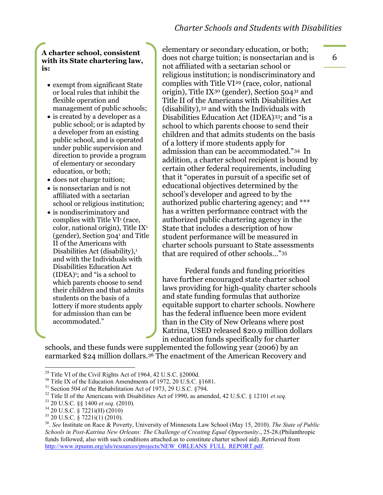#### **A charter school, consistent with its State chartering law, is:**

- exempt from significant State or local rules that inhibit the flexible operation and management of public schools;
- is created by a developer as a public school; or is adapted by a developer from an existing public school, and is operated under public supervision and direction to provide a program of elementary or secondary education, or both;
- does not charge tuition:
- is nonsectarian and is not affiliated with a sectarian school or religious institution;
- is nondiscriminatory and complies with Title VI1 (race, color, national origin), Title IX1 (gender), Section 5041 and Title II of the Americans with Disabilities Act (disability), $\frac{1}{1}$ and with the Individuals with Disabilities Education Act  $(IDEA)<sup>1</sup>$ ; and "is a school to which parents choose to send their children and that admits students on the basis of a lottery if more students apply for admission than can be accommodated."

elementary or secondary education, or both; does not charge tuition; is nonsectarian and is not affiliated with a sectarian school or religious institution; is nondiscriminatory and complies with Title VI[29](#page-7-0) (race, color, national origin), Title IX[30](#page-7-1) (gender), Section 504[31](#page-7-2) and Title II of the Americans with Disabilities Act (disability),[32](#page-7-3) and with the Individuals with Disabilities Education Act (IDEA)[33;](#page-7-4) and "is a school to which parents choose to send their children and that admits students on the basis of a lottery if more students apply for admission than can be accommodated."[34](#page-7-5) In addition, a charter school recipient is bound by certain other federal requirements, including that it "operates in pursuit of a specific set of educational objectives determined by the school's developer and agreed to by the authorized public chartering agency; and \*\*\* has a written performance contract with the authorized public chartering agency in the State that includes a description of how student performance will be measured in charter schools pursuant to State assessments that are required of other schools…"[35](#page-7-6)

Federal funds and funding priorities have further encouraged state charter school laws providing for high-quality charter schools and state funding formulas that authorize equitable support to charter schools. Nowhere has the federal influence been more evident than in the City of New Orleans where post Katrina, USED released \$20.9 million dollars in education funds specifically for charter

schools, and these funds were supplemented the following year (2006) by an earmarked \$24 million dollars.[36](#page-7-7) The enactment of the American Recovery and

<span id="page-7-0"></span><sup>&</sup>lt;sup>29</sup> Title VI of the Civil Rights Act of 1964, 42 U.S.C. §2000d.<br><sup>30</sup> Title IX of the Education Amendments of 1972, 20 U.S.C. §1681.

<span id="page-7-4"></span>

<span id="page-7-5"></span>

<span id="page-7-7"></span><span id="page-7-6"></span>

<span id="page-7-3"></span><span id="page-7-2"></span><span id="page-7-1"></span><sup>&</sup>lt;sup>31</sup> Section 504 of the Rehabilitation Act of 1973, 29 U.S.C. §794.<br><sup>32</sup> Title II of the Americans with Disabilities Act of 1990, as amended, 42 U.S.C. § 12101 *et seq.*<br><sup>33</sup> 20 U.S.C. §§ 1400 *et seq.* (2010).<br><sup>34</sup> 20 U. *Schools in Post-Katrina New Orleans: The Challenge of Creating Equal Opportunity*., 25-28.(Philanthropic funds followed, also with such conditions attached.as to constitute charter school aid)..Retrieved from [http://www.irpumn.org/uls/resources/projects/NEW\\_ORLEANS\\_FULL\\_REPORT.pdf.](http://www.irpumn.org/uls/resources/projects/NEW_ORLEANS_FULL_REPORT.pdf)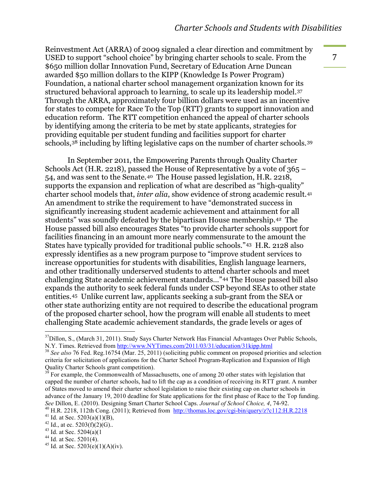Reinvestment Act (ARRA) of 2009 signaled a clear direction and commitment by USED to support "school choice" by bringing charter schools to scale. From the \$650 million dollar Innovation Fund, Secretary of Education Arne Duncan awarded \$50 million dollars to the KIPP (Knowledge Is Power Program) Foundation, a national charter school management organization known for its structured behavioral approach to learning, to scale up its leadership model.[37](#page-8-0) Through the ARRA, approximately four billion dollars were used as an incentive for states to compete for Race To the Top (RTT) grants to support innovation and education reform. The RTT competition enhanced the appeal of charter schools by identifying among the criteria to be met by state applicants, strategies for providing equitable per student funding and facilities support for charter schools,[38](#page-8-1) including by lifting legislative caps on the number of charter schools.[39](#page-8-2)

In September 2011, the Empowering Parents through Quality Charter Schools Act (H.R. 2218), passed the House of Representative by a vote of 365 – 54, and was sent to the Senate.[40](#page-8-3) The House passed legislation, H.R. 2218, supports the expansion and replication of what are described as "high-quality" charter school models that, *inter alia*, show evidence of strong academic result.[41](#page-8-4) An amendment to strike the requirement to have "demonstrated success in significantly increasing student academic achievement and attainment for all students" was soundly defeated by the bipartisan House membership.[42](#page-8-5) The House passed bill also encourages States "to provide charter schools support for facilities financing in an amount more nearly commensurate to the amount the States have typically provided for traditional public schools."[43](#page-8-6) H.R. 2128 also expressly identifies as a new program purpose to "improve student services to increase opportunities for students with disabilities, English language learners, and other traditionally underserved students to attend charter schools and meet challenging State academic achievement standards…"[44](#page-8-7) The House passed bill also expands the authority to seek federal funds under CSP beyond SEAs to other state entities.[45](#page-8-8) Unlike current law, applicants seeking a sub-grant from the SEA or other state authorizing entity are not required to describe the educational program of the proposed charter school, how the program will enable all students to meet challenging State academic achievement standards, the grade levels or ages of

<span id="page-8-0"></span> $37$ Dillon, S., (March 31, 2011). Study Says Charter Network Has Financial Advantages Over Public Schools, N.Y. Times. Retrieved from http://www.NYTimes.com/2011/03/31/education/31kipp.html

<span id="page-8-1"></span><sup>&</sup>lt;sup>38</sup> See also 76 Fed. Reg.16754 (Mar. 25, 2011) (soliciting public comment on proposed priorities and selection criteria for solicitation of applications for the Charter School Program-Replication and Expansion of High Quality Charter Schools grant competition).<br><sup>39</sup> For example, the Commonwealth of Massachusetts, one of among 20 other states with legislation that

<span id="page-8-2"></span>capped the number of charter schools, had to lift the cap as a condition of receiving its RTT grant. A number of States moved to amend their charter school legislation to raise their existing cap on charter schools in advance of the January 19, 2010 deadline for State applications for the first phase of Race to the Top funding.

<span id="page-8-3"></span>See Dillon, E. (2010). Designing Smart Charter School Caps. Journal of School Choice, 4, 74-92.<br><sup>40</sup> H.R. 2218, 112th Cong. (2011); Retrieved from <http://thomas.loc.gov/cgi-bin/query/z?c112:H.R.2218><br><sup>41</sup> Id. at Sec. 5203(

<span id="page-8-5"></span><span id="page-8-4"></span>

<span id="page-8-6"></span>

<span id="page-8-7"></span>

<span id="page-8-8"></span>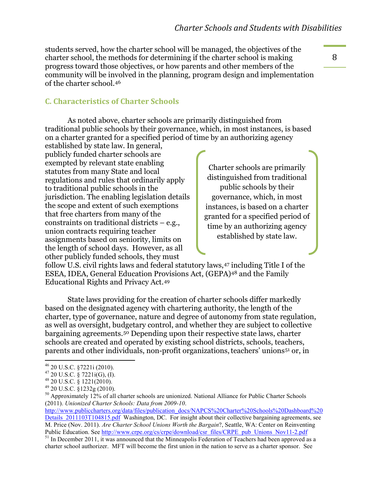students served, how the charter school will be managed, the objectives of the charter school, the methods for determining if the charter school is making progress toward those objectives, or how parents and other members of the community will be involved in the planning, program design and implementation of the charter school.[46](#page-9-0)

#### **C.\$Characteristics\$of\$Charter\$Schools\$**

As noted above, charter schools are primarily distinguished from traditional public schools by their governance, which, in most instances, is based on a charter granted for a specified period of time by an authorizing agency

established by state law. In general, publicly funded charter schools are exempted by relevant state enabling statutes from many State and local regulations and rules that ordinarily apply to traditional public schools in the jurisdiction. The enabling legislation details the scope and extent of such exemptions that free charters from many of the constraints on traditional districts – e.g., union contracts requiring teacher assignments based on seniority, limits on the length of school days. However, as all other publicly funded schools, they must

Charter schools are primarily distinguished from traditional public schools by their governance, which, in most instances, is based on a charter granted for a specified period of time by an authorizing agency established by state law.

follow U.S. civil rights laws and federal statutory laws,[47](#page-9-1) including Title I of the ESEA, IDEA, General Education Provisions Act, (GEPA)[48](#page-9-2) and the Family Educational Rights and Privacy Act.[49](#page-9-3)

State laws providing for the creation of charter schools differ markedly based on the designated agency with chartering authority, the length of the charter, type of governance, nature and degree of autonomy from state regulation, as well as oversight, budgetary control, and whether they are subject to collective bargaining agreements. [50](#page-9-4) Depending upon their respective state laws, charter schools are created and operated by existing school districts, schools, teachers, parents and other individuals, non-profit organizations, teachers' unions<sup>[51](#page-9-5)</sup> or, in

<span id="page-9-5"></span> $^{51}$  In December 2011, it was announced that the Minneapolis Federation of Teachers had been approved as a charter school authorizer. MFT will become the first union in the nation to serve as a charter sponsor. See

<span id="page-9-0"></span> $<sup>46</sup>$  20 U.S.C. §7221i (2010).<br><sup>47</sup> 20 U.S.C. § 7221i(G), (I).</sup>

<span id="page-9-4"></span>

<span id="page-9-3"></span><span id="page-9-2"></span><span id="page-9-1"></span><sup>&</sup>lt;sup>48</sup> 20 U.S.C. § 1221(2010).<br><sup>49</sup> 20 U.S.C. §1232g (2010).<br><sup>50</sup> Approximately 12% of all charter schools are unionized. National Alliance for Public Charter Schools (2011). *Unionized Charter Schools: Data from 2009-10*.

[http://www.publiccharters.org/data/files/publication\\_docs/NAPCS%20Charter%20Schools%20Dashboard%20](http://www.publiccharters.org/data/files/publication_docs/NAPCS%20Charter%20Schools%20Dashboard%20Details_2011103T104815.pdf) Details 2011103T104815.pdf Washington, DC. For insight about their collective bargaining agreements, see M. Price (Nov. 2011). *Are Charter School Unions Worth the Bargain*?, Seattle, WA: Center on Reinventing Public Education. See http://www.crpe.org/cs/crpe/download/csr files/CRPE pub Unions Nov11-2.pdf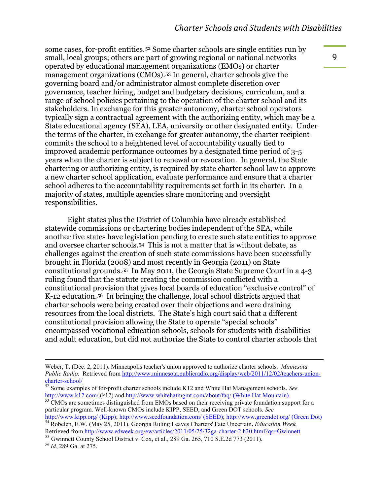some cases, for-profit entities.[52](#page-10-0) Some charter schools are single entities run by small, local groups; others are part of growing regional or national networks operated by educational management organizations (EMOs) or charter management organizations (CMOs).[53](#page-10-1) In general, charter schools give the governing board and/or administrator almost complete discretion over governance, teacher hiring, budget and budgetary decisions, curriculum, and a range of school policies pertaining to the operation of the charter school and its stakeholders. In exchange for this greater autonomy, charter school operators typically sign a contractual agreement with the authorizing entity, which may be a State educational agency (SEA), LEA, university or other designated entity. Under the terms of the charter, in exchange for greater autonomy, the charter recipient commits the school to a heightened level of accountability usually tied to improved academic performance outcomes by a designated time period of 3-5 years when the charter is subject to renewal or revocation. In general, the State chartering or authorizing entity, is required by state charter school law to approve a new charter school application, evaluate performance and ensure that a charter school adheres to the accountability requirements set forth in its charter. In a majority of states, multiple agencies share monitoring and oversight responsibilities.

Eight states plus the District of Columbia have already established statewide commissions or chartering bodies independent of the SEA, while another five states have legislation pending to create such state entities to approve and oversee charter schools.[54](#page-10-2) This is not a matter that is without debate, as challenges against the creation of such state commissions have been successfully brought in Florida (2008) and most recently in Georgia (2011) on State constitutional grounds.[55](#page-10-3) In May 2011, the Georgia State Supreme Court in a 4-3 ruling found that the statute creating the commission conflicted with a constitutional provision that gives local boards of education "exclusive control" of K-12 education.[56](#page-10-4) In bringing the challenge, local school districts argued that charter schools were being created over their objections and were draining resources from the local districts. The State's high court said that a different constitutional provision allowing the State to operate "special schools" encompassed vocational education schools, schools for students with disabilities and adult education, but did not authorize the State to control charter schools that

%%%%%%%%%%%%%%%%%%%%%%%%%%%%%%%%%%%%%%%%%%%%%%%%%%%%%%%%%%%%%%%%%%%%%%%%%%%%%%%%%%%%%%%%%%%%%%%%%%%%%%%%%%%%%%%%%%%%%%%%%%%%%%%%%%%%%%%%%%%%%%%%%%%%%%%%%%%%%%%%%%%%%%%%%%%%%%%%%

Weber, T. (Dec. 2, 2011). Minneapolis teacher's union approved to authorize charter schools. *Minnesota Public Radio*. Retrieved from [http://www.minnesota.publicradio.org/display/web/2011/12/02/teachers-union-](http://www.minnesota.publicradio.org/display/web/2011/12/02/teachers-union-charter-school/)

<span id="page-10-0"></span>[charter-school/](http://www.minnesota.publicradio.org/display/web/2011/12/02/teachers-union-charter-school/)<br><sup>52</sup> Some examples of for-profit charter schools include K12 and White Hat Management schools. *See* http://www.k12.com/ (k12) and http://www.whitehatmgmt.com/about/faq/ (White Hat Mountain).

<span id="page-10-1"></span> $\frac{1}{2}$  CMOs are sometimes distinguished from EMOs based on their receiving private foundation support for a particular program. Well-known CMOs include KIPP, SEED, and Green DOT schools. *See* 

<span id="page-10-2"></span><http://www.kipp.org/> (Kipp);<http://www.seedfoundation.com/> (SEED);<http://www.greendot.org/> (Green Dot) <sup>54</sup> [Robelen,](http://www.edweek.org/ew/contributors/erik.robelen.html) E.W. (May 25, 2011). Georgia Ruling Leaves Charters' Fate Uncertain**.** *Education Week.* 

<span id="page-10-3"></span>Retrieved from<http://www.edweek.org/ew/articles/2011/05/25/32ga-charter-2.h30.html?qs=Gwinnett> <sup>55</sup> Gwinnett County School District v. Cox, et al., 289 Ga. 265, 710 S.E.2d 773 (2011). *<sup>56</sup> Id.,*289 Ga. at 275.

<span id="page-10-4"></span>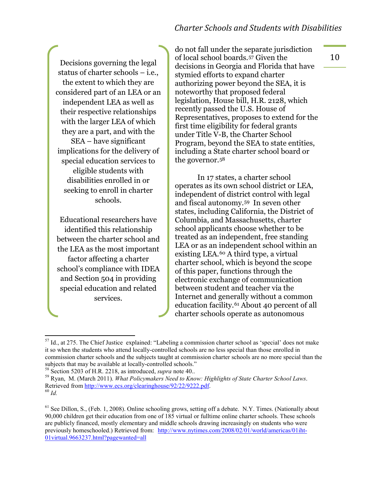#### *Charter'Schools'and'Students'with'Disabilities*

Decisions governing the legal status of charter schools – i.e., the extent to which they are considered part of an LEA or an independent LEA as well as their respective relationships with the larger LEA of which they are a part, and with the SEA – have significant implications for the delivery of special education services to eligible students with disabilities enrolled in or seeking to enroll in charter schools.

Educational researchers have identified this relationship between the charter school and the LEA as the most important factor affecting a charter school's compliance with IDEA and Section 504 in providing special education and related services.

do not fall under the separate jurisdiction of local school boards.[57](#page-11-0) Given the decisions in Georgia and Florida that have stymied efforts to expand charter authorizing power beyond the SEA, it is noteworthy that proposed federal legislation, House bill, H.R. 2128, which recently passed the U.S. House of Representatives, proposes to extend for the first time eligibility for federal grants under Title V-B, the Charter School Program, beyond the SEA to state entities, including a State charter school board or the governor.[58](#page-11-1)

In 17 states, a charter school operates as its own school district or LEA, independent of district control with legal and fiscal autonomy. [59](#page-11-2) In seven other states, including California, the District of Columbia, and Massachusetts, charter school applicants choose whether to be treated as an independent, free standing LEA or as an independent school within an existing LEA.[60](#page-11-3) A third type, a virtual charter school, which is beyond the scope of this paper, functions through the electronic exchange of communication between student and teacher via the Internet and generally without a common education facility.[61](#page-11-4) About 40 percent of all charter schools operate as autonomous

<span id="page-11-0"></span> $<sup>57</sup>$  Id., at 275. The Chief Justice explained: "Labeling a commission charter school as 'special' does not make</sup> it so when the students who attend locally-controlled schools are no less special than those enrolled in commission charter schools and the subjects taught at commission charter schools are no more special than the subjects that may be available at locally-controlled schools."<br><sup>58</sup> Section 5203 of H.R. 2218, as introduced, *supra* note 40..

<span id="page-11-3"></span><span id="page-11-2"></span><span id="page-11-1"></span><sup>&</sup>lt;sup>59</sup> Ryan, M. (March 2011). *What Policymakers Need to Know: Highlights of State Charter School Laws.* Retrieved from <u>http://www.ecs.org/clearinghouse/92/22/9222.pdf</u>. <sup>60</sup> *Id.* 

<span id="page-11-4"></span> $<sup>61</sup>$  See Dillon, S., (Feb. 1, 2008). Online schooling grows, setting off a debate. N.Y. Times. (Nationally about</sup> 90,000 children get their education from one of 185 virtual or fulltime online charter schools. These schools are publicly financed, mostly elementary and middle schools drawing increasingly on students who were previously homeschooled.) Retrieved from: [http://www.nytimes.com/2008/02/01/world/americas/01iht-](http://www.nytimes.com/2008/02/01/world/americas/01iht-01virtual.9663237.html?pagewanted=all)[01virtual.9663237.html?pagewanted=all](http://www.nytimes.com/2008/02/01/world/americas/01iht-01virtual.9663237.html?pagewanted=all)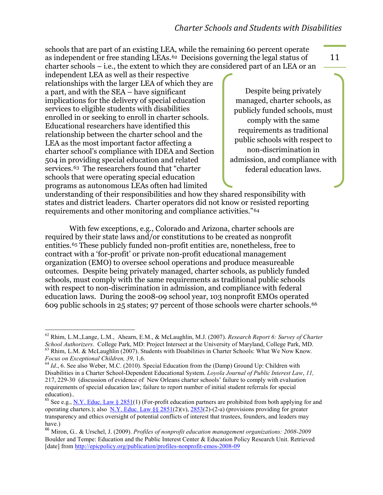schools that are part of an existing LEA, while the remaining 60 percent operate as independent or free standing LEAs.[62](#page-12-0) Decisions governing the legal status of charter schools – i.e., the extent to which they are considered part of an LEA or an

independent LEA as well as their respective relationships with the larger LEA of which they are a part, and with the SEA – have significant implications for the delivery of special education services to eligible students with disabilities enrolled in or seeking to enroll in charter schools. Educational researchers have identified this relationship between the charter school and the LEA as the most important factor affecting a charter school's compliance with IDEA and Section 504 in providing special education and related services.[63](#page-12-1) The researchers found that "charter schools that were operating special education programs as autonomous LEAs often had limited

Despite being privately managed, charter schools, as publicly funded schools, must comply with the same requirements as traditional public schools with respect to non-discrimination in admission, and compliance with federal education laws.

understanding of their responsibilities and how they shared responsibility with states and district leaders. Charter operators did not know or resisted reporting requirements and other monitoring and compliance activities."[64](#page-12-2)

With few exceptions, e.g., Colorado and Arizona, charter schools are required by their state laws and/or constitutions to be created as nonprofit entities.[65](#page-12-3) These publicly funded non-profit entities are, nonetheless, free to contract with a 'for-profit' or private non-profit educational management organization (EMO) to oversee school operations and produce measureable outcomes. Despite being privately managed, charter schools, as publicly funded schools, must comply with the same requirements as traditional public schools with respect to non-discrimination in admission, and compliance with federal education laws. During the 2008-09 school year, 103 nonprofit EMOs operated 609 public schools in 25 states; 97 percent of those schools were charter schools.[66](#page-12-4)

<span id="page-12-0"></span><sup>%%%%%%%%%%%%%%%%%%%%%%%%%%%%%%%%%%%%%%%%%%%%%%%%%%%%%%%%%%</sup> <sup>62</sup> Rhim, L.M.,Lange, L.M., Ahearn, E.M., & McLaughlin, M.J. (2007). *Research Report 6: Survey of Charter School Authorizers*. College Park, MD: Project Intersect at the University of Maryland, College Park, MD. <sup>63</sup> Rhim, L.M. & McLaughlin (2007). Students with Disabilities in Charter Schools: What We Now Know.

<span id="page-12-2"></span><span id="page-12-1"></span>*Focus on Exceptional Children, 39, 1,6. (2010)*. Special Education from the (Damp) Ground Up: Children with <sup>64</sup> *Id.*, 6. See also Weber, M.C. (2010). Special Education from the (Damp) Ground Up: Children with Disabilities in a Charter School-Dependent Educational System. *Loyola Journal of Public Interest Law*, *11,* 217, 229-30 (discussion of evidence of New Orleans charter schools' failure to comply with evaluation requirements of special education law; failure to report number of initial student referrals for special education)..

<span id="page-12-3"></span><sup>&</sup>lt;sup>65</sup> See e.g., <u>N.Y. Educ. Law § 2851</u>(1) (For-profit education partners are prohibited from both applying for and operating charters.); also N.Y. Educ. Law  $\S$   $\S$   $2851(2)(v)$ ,  $2853(2)-(2-a)$  (provisions providing for greater transparency and ethics oversight of potential conflicts of interest that trustees, founders, and leaders may have.)

<span id="page-12-4"></span><sup>66</sup> Miron, G.. & Urschel, J. (2009). *Profiles of nonprofit education management organizations: 2008-2009* Boulder and Tempe: Education and the Public Interest Center & Education Policy Research Unit. Retrieved [date] from<http://epicpolicy.org/publication/profiles-nonprofit-emos-2008-09>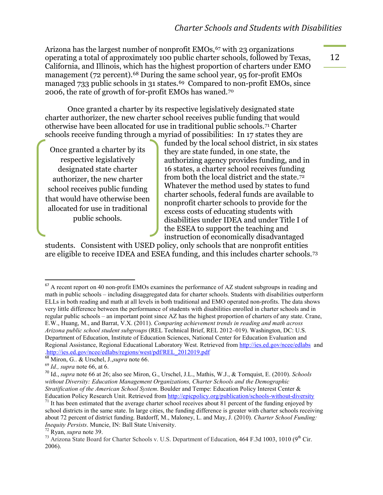Arizona has the largest number of nonprofit  $EMOs<sub>67</sub>$  $EMOs<sub>67</sub>$  $EMOs<sub>67</sub>$  with 23 organizations operating a total of approximately 100 public charter schools, followed by Texas, California, and Illinois, which has the highest proportion of charters under EMO management (72 percent).<sup>[68](#page-13-1)</sup> During the same school year, 95 for-profit EMOs managed 733 public schools in 31 states.<sup>69</sup> Compared to non-profit EMOs, since 2006, the rate of growth of for-profit EMOs has waned.[70](#page-13-3)

Once granted a charter by its respective legislatively designated state charter authorizer, the new charter school receives public funding that would otherwise have been allocated for use in traditional public schools.[71](#page-13-4) Charter schools receive funding through a myriad of possibilities: In 17 states they are

Once granted a charter by its respective legislatively designated state charter authorizer, the new charter school receives public funding that would have otherwise been allocated for use in traditional public schools.

funded by the local school district, in six states they are state funded, in one state, the authorizing agency provides funding, and in 16 states, a charter school receives funding from both the local district and the state.[72](#page-13-5) Whatever the method used by states to fund charter schools, federal funds are available to nonprofit charter schools to provide for the excess costs of educating students with disabilities under IDEA and under Title I of the ESEA to support the teaching and instruction of economically disadvantaged

students. Consistent with USED policy, only schools that are nonprofit entities are eligible to receive IDEA and ESEA funding, and this includes charter schools.[73](#page-13-6)

<span id="page-13-0"></span> $<sup>67</sup>$  A recent report on 40 non-profit EMOs examines the performance of AZ student subgroups in reading and</sup> math in public schools – including disaggregated data for charter schools. Students with disabilities outperform ELLs in both reading and math at all levels in both traditional and EMO operated non-profits. The data shows very little difference between the performance of students with disabilities enrolled in charter schools and in regular public schools – an important point since AZ has the highest proportion of charters of any state. Crane, E.W., Huang, M., and Barrat, V.X. (2011). *Comparing achievement trends in reading and math across Arizona public school student subgroups* (REL Technical Brief, REL 2012–019). Washington, DC: U.S. Department of Education, Institute of Education Sciences, National Center for Education Evaluation and Regional Assistance, Regional Educational Laboratory West. Retrieved from<http://ies.ed.gov/ncee/edlabs>and [.http://ies.ed.gov/ncee/edlabs/regions/west/pdf/REL\\_2012019.pdf](http://ies.ed.gov/ncee/edlabs/regions/west/pdf/REL_2012019.pdf)

<sup>68</sup> Miron, G.. & Urschel, J.,*supra* note 66. 69 *Id., supra* note 66, at 6.

<span id="page-13-3"></span><span id="page-13-2"></span><span id="page-13-1"></span> $^{69}$  Id., *supra* note 66, at 6.<br><sup>70</sup> Id., *supra* note 66 at 26; also see Miron, G., Urschel, J.L., Mathis, W.J., & Tornquist, E. (2010). *Schools without Diversity: Education Management Organizations, Charter Schools and the Demographic Stratification of the American School System.* Boulder and Tempe: Education Policy Interest Center &<br>Education Policy Research Unit. Retrieved from http://epicpolicy.org/publication/schools-without-diversity

<span id="page-13-4"></span><sup>&</sup>lt;sup>71</sup> It has been estimated that the average charter school receives about 81 percent of the funding enjoyed by school districts in the same state. In large cities, the funding difference is greater with charter schools receiving about 72 percent of district funding. Batdorff, M., Maloney, L. and May, J. (2010). *Charter School Funding: Inequity Persists*. Muncie, IN: Ball State University.<br><sup>72</sup> Ryan, *supra* note 39.<br><sup>73</sup> Arizona State Board for Charter Schools v. U.S. Department of Education, 464 F.3d 1003, 1010 (9<sup>th</sup> Cir.

<span id="page-13-6"></span><span id="page-13-5"></span><sup>2006).</sup>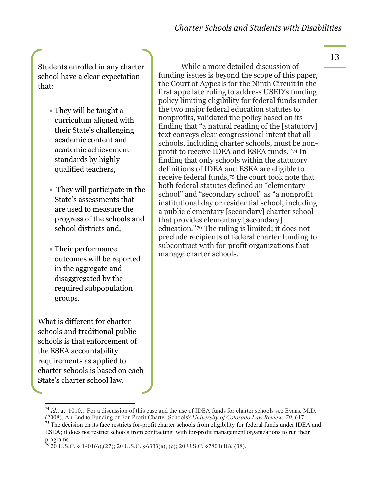Students enrolled in any charter school have a clear expectation that:

- They will be taught a curriculum aligned with their State's challenging academic content and academic achievement standards by highly qualified teachers,
- $\bullet$  They will participate in the State's assessments that are used to measure the progress of the schools and school districts and,
- Their performance outcomes will be reported in the aggregate and disaggregated by the required subpopulation groups.

What is different for charter schools and traditional public schools is that enforcement of the ESEA accountability requirements as applied to charter schools is based on each State's charter school law.

While a more detailed discussion of funding issues is beyond the scope of this paper, the Court of Appeals for the Ninth Circuit in the first appellate ruling to address USED's funding policy limiting eligibility for federal funds under the two major federal education statutes to nonprofits, validated the policy based on its finding that "a natural reading of the [statutory] text conveys clear congressional intent that all schools, including charter schools, must be nonprofit to receive IDEA and ESEA funds."[74](#page-14-0) In finding that only schools within the statutory definitions of IDEA and ESEA are eligible to receive federal funds,[75](#page-14-1) the court took note that both federal statutes defined an "elementary school" and "secondary school" as "a nonprofit institutional day or residential school, including a public elementary [secondary] charter school that provides elementary [secondary] education."[76](#page-14-2) The ruling is limited; it does not preclude recipients of federal charter funding to subcontract with for-profit organizations that manage charter schools.

<span id="page-14-0"></span><sup>&</sup>lt;sup>74</sup> *Id.*, at 1010.. For a discussion of this case and the use of IDEA funds for charter schools see Evans, M.D. (2008). An End to Funding of For-Profit Charter Schools? *University of Colorado Law Review*, 70, 617.

<span id="page-14-1"></span><sup>&</sup>lt;sup>75</sup> The decision on its face restricts for-profit charter schools from eligibility for federal funds under IDEA and ESEA; it does not restrict schools from contracting with for-profit management organizations to run their programs.

<span id="page-14-2"></span> $^{76}$  20 U.S.C. § 1401(6),(27); 20 U.S.C. §6333(a), (c); 20 U.S.C. §7801(18), (38).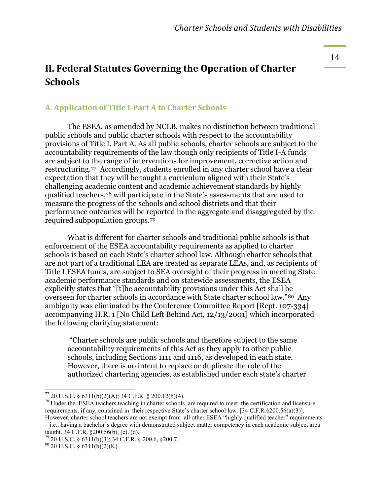#### **II. Federal Statutes Governing the Operation of Charter Schools**

#### **A. Application of Title I-Part A to Charter Schools**

The ESEA, as amended by NCLB, makes no distinction between traditional public schools and public charter schools with respect to the accountability provisions of Title I, Part A. As all public schools, charter schools are subject to the accountability requirements of the law though only recipients of Title I-A funds are subject to the range of interventions for improvement, corrective action and restructuring.[77](#page-15-0) Accordingly, students enrolled in any charter school have a clear expectation that they will be taught a curriculum aligned with their State's challenging academic content and academic achievement standards by highly qualified teachers,[78](#page-15-1) will participate in the State's assessments that are used to measure the progress of the schools and school districts and that their performance outcomes will be reported in the aggregate and disaggregated by the required subpopulation groups.[79](#page-15-2)

What is different for charter schools and traditional public schools is that enforcement of the ESEA accountability requirements as applied to charter schools is based on each State's charter school law. Although charter schools that are not part of a traditional LEA are treated as separate LEAs, and, as recipients of Title I ESEA funds, are subject to SEA oversight of their progress in meeting State academic performance standards and on statewide assessments, the ESEA explicitly states that "[t]he accountability provisions under this Act shall be overseen for charter schools in accordance with State charter school law." [80](#page-15-3) Any ambiguity was eliminated by the Conference Committee Report [Rept. 107-334] accompanying H.R. 1 [No Child Left Behind Act, 12/13/2001] which incorporated the following clarifying statement:

"Charter schools are public schools and therefore subject to the same accountability requirements of this Act as they apply to other public schools, including Sections 1111 and 1116, as developed in each state. However, there is no intent to replace or duplicate the role of the authorized chartering agencies, as established under each state's charter

<span id="page-15-1"></span>

<span id="page-15-0"></span><sup>&</sup>lt;sup>77</sup> 20 U.S.C. § 6311(b)(2)(A); 34 C.F.R. § 200.12(b)(4).<br><sup>78</sup> Under the ESEA teachers teaching in charter schools are required to meet the certification and licensure requirements, if any, contained in their respective State's charter school law. [34 C.F.R.§200.56(a)(3)]. However, charter school teachers are not exempt from all other ESEA "highly qualified teacher" requirements – i.e., having a bachelor's degree with demonstrated subject matter competency in each academic subject area taught. 34 C.F.R. §200.56(b), (c), (d).<br><sup>79</sup> 20 U.S.C. § 6311(b)(3); 34 C.F.R. § 200.6, §200.7. <sup>80</sup> 20 U.S.C. § 6311(b)(2)(K).

<span id="page-15-2"></span>

<span id="page-15-3"></span>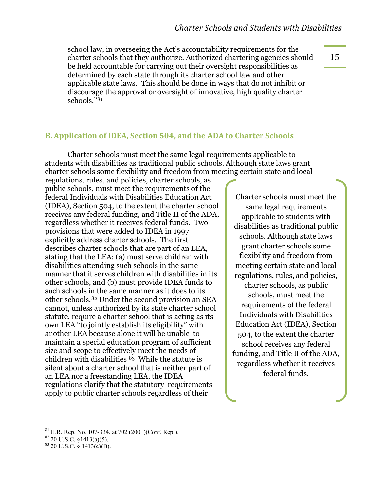school law, in overseeing the Act's accountability requirements for the charter schools that they authorize. Authorized chartering agencies should be held accountable for carrying out their oversight responsibilities as determined by each state through its charter school law and other applicable state laws. This should be done in ways that do not inhibit or discourage the approval or oversight of innovative, high quality charter schools."[81](#page-16-0)

15

#### **B. Application of IDEA, Section 504, and the ADA to Charter Schools**

Charter schools must meet the same legal requirements applicable to students with disabilities as traditional public schools. Although state laws grant charter schools some flexibility and freedom from meeting certain state and local

regulations, rules, and policies, charter schools, as public schools, must meet the requirements of the federal Individuals with Disabilities Education Act (IDEA), Section 504, to the extent the charter school receives any federal funding, and Title II of the ADA, regardless whether it receives federal funds. Two provisions that were added to IDEA in 1997 explicitly address charter schools. The first describes charter schools that are part of an LEA, stating that the LEA: (a) must serve children with disabilities attending such schools in the same manner that it serves children with disabilities in its other schools, and (b) must provide IDEA funds to such schools in the same manner as it does to its other schools.[82](#page-16-1) Under the second provision an SEA cannot, unless authorized by its state charter school statute, require a charter school that is acting as its own LEA "to jointly establish its eligibility" with another LEA because alone it will be unable to maintain a special education program of sufficient size and scope to effectively meet the needs of children with disabilities [83](#page-16-2) While the statute is silent about a charter school that is neither part of an LEA nor a freestanding LEA, the IDEA regulations clarify that the statutory requirements apply to public charter schools regardless of their

Charter schools must meet the same legal requirements applicable to students with disabilities as traditional public schools. Although state laws grant charter schools some flexibility and freedom from meeting certain state and local regulations, rules, and policies, charter schools, as public schools, must meet the requirements of the federal Individuals with Disabilities Education Act (IDEA), Section 504, to the extent the charter school receives any federal funding, and Title II of the ADA, regardless whether it receives federal funds.

<span id="page-16-0"></span> $^{81}$  H.R. Rep. No. 107-334, at 702 (2001)(Conf. Rep.).

<span id="page-16-2"></span><span id="page-16-1"></span>

 $82^{82}$  20 U.S.C. §1413(a)(5).<br> $83^{83}$  20 U.S.C. § 1413(e)(B).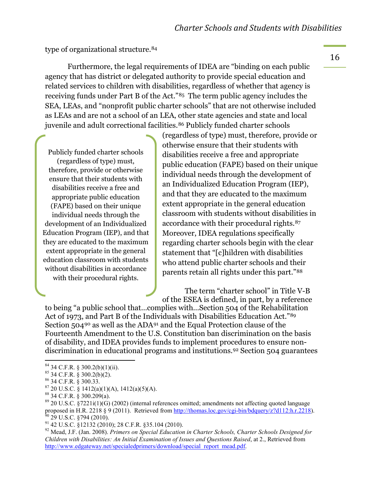type of organizational structure.[84](#page-17-0)

Furthermore, the legal requirements of IDEA are "binding on each public agency that has district or delegated authority to provide special education and related services to children with disabilities, regardless of whether that agency is receiving funds under Part B of the Act."[85](#page-17-1) The term public agency includes the SEA, LEAs, and "nonprofit public charter schools" that are not otherwise included as LEAs and are not a school of an LEA, other state agencies and state and local juvenile and adult correctional facilities.<sup>[86](#page-17-2)</sup> Publicly funded charter schools

Publicly funded charter schools (regardless of type) must, therefore, provide or otherwise ensure that their students with disabilities receive a free and appropriate public education (FAPE) based on their unique individual needs through the development of an Individualized Education Program (IEP), and that they are educated to the maximum extent appropriate in the general education classroom with students without disabilities in accordance with their procedural rights.

(regardless of type) must, therefore, provide or otherwise ensure that their students with disabilities receive a free and appropriate public education (FAPE) based on their unique individual needs through the development of an Individualized Education Program (IEP), and that they are educated to the maximum extent appropriate in the general education classroom with students without disabilities in accordance with their procedural rights.[87](#page-17-3)  Moreover, IDEA regulations specifically regarding charter schools begin with the clear statement that "[c]hildren with disabilities who attend public charter schools and their parents retain all rights under this part."[88](#page-17-4)

The term "charter school" in Title V-B of the ESEA is defined, in part, by a reference

to being "a public school that…complies with…Section 504 of the Rehabilitation Act of 1973, and Part B of the Individuals with Disabilities Education Act." [89](#page-17-5) Section 504[90](#page-17-6) as well as the ADA[91](#page-17-7) and the Equal Protection clause of the Fourteenth Amendment to the U.S. Constitution ban discrimination on the basis of disability, and IDEA provides funds to implement procedures to ensure nondiscrimination in educational programs and institutions[.92](#page-17-8) Section 504 guarantees

<span id="page-17-0"></span> $<sup>84</sup>$  34 C.F.R. § 300.2(b)(1)(ii).<br><sup>85</sup> 34 C.F.R. § 300.2(b)(2).</sup>

<span id="page-17-5"></span><span id="page-17-4"></span>

<span id="page-17-3"></span><span id="page-17-2"></span><span id="page-17-1"></span><sup>&</sup>lt;sup>86</sup> 34 C.F.R. § 300.33.<br><sup>87</sup> 20 U.S.C. § 1412(a)(1)(A), 1412(a)(5)(A).<br><sup>88</sup> 34 C.F.R. § 300.209(a).<br><sup>89</sup> 20 U.S.C. §7221i(1)(G) (2002) (internal references omitted; amendments not affecting quoted language<br>proposed in H.  $^{60}$  29 U.S.C. §794 (2010).<br><sup>91</sup> 42 U.S.C. §12132 (2010); 28 C.F.R. §35.104 (2010).<br><sup>92</sup> Mead, J.F. (Jan. 2008). *Primers on Special Education in Charter Schools, Charter Schools Designed for* 

<span id="page-17-7"></span><span id="page-17-6"></span>

<span id="page-17-8"></span>*Children with Disabilities: An Initial Examination of Issues and Questions Raised*, at 2., Retrieved from [http://www.edgateway.net/specialedprimers/download/special\\_report\\_mead.pdf.](http://www.edgateway.net/specialedprimers/download/special_report_mead.pdf)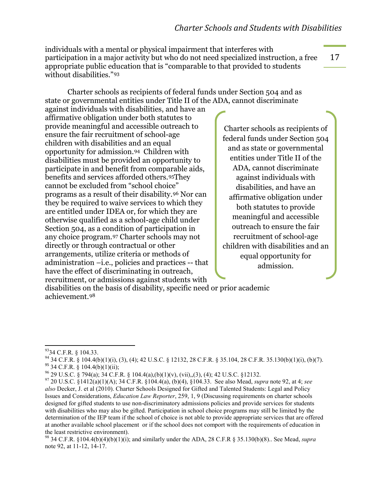individuals with a mental or physical impairment that interferes with participation in a major activity but who do not need specialized instruction, a free appropriate public education that is "comparable to that provided to students without disabilities."[93](#page-18-0)

Charter schools as recipients of federal funds under Section 504 and as state or governmental entities under Title II of the ADA, cannot discriminate

against individuals with disabilities, and have an affirmative obligation under both statutes to provide meaningful and accessible outreach to ensure the fair recruitment of school-age children with disabilities and an equal opportunity for admission.[94](#page-18-1) Children with disabilities must be provided an opportunity to participate in and benefit from comparable aids, benefits and services afforded others.[95](#page-18-2)They cannot be excluded from "school choice" programs as a result of their disability.[96](#page-18-3) Nor can they be required to waive services to which they are entitled under IDEA or, for which they are otherwise qualified as a school-age child under Section 504, as a condition of participation in any choice program.[97](#page-18-4) Charter schools may not directly or through contractual or other arrangements, utilize criteria or methods of administration –i.e., policies and practices -- that have the effect of discriminating in outreach, recruitment, or admissions against students with

Charter schools as recipients of federal funds under Section 504 and as state or governmental entities under Title II of the ADA, cannot discriminate against individuals with disabilities, and have an affirmative obligation under both statutes to provide meaningful and accessible outreach to ensure the fair recruitment of school-age children with disabilities and an equal opportunity for admission.

disabilities on the basis of disability, specific need or prior academic achievement.[98](#page-18-5)

<span id="page-18-0"></span> $^{93}$ 34 C.F.R. § 104.33.

<span id="page-18-2"></span><span id="page-18-1"></span> $94$  34 C.F.R. § 104.4(b)(1)(i), (3), (4); 42 U.S.C. § 12132, 28 C.F.R. § 35.104, 28 C.F.R. 35.130(b)(1)(i), (b)(7). <sup>95</sup> 34 C.F.R. § 104.4(b)(1)(ii);<br><sup>96</sup> 29 U.S.C. § 794(a); 34 C.F.R. § 104.4(a),(b)(1)(v), (vii),,(3), (4); 42 U.S.C. §12132.

<span id="page-18-4"></span><span id="page-18-3"></span><sup>&</sup>lt;sup>97</sup> 20 U.S.C. §1412(a)(1)(A); 34 C.F.R. §104.4(a), (b)(4), §104.33. See also Mead, *supra* note 92, at 4; *see also* Decker, J. et al (2010). Charter Schools Designed for Gifted and Talented Students: Legal and Policy Issues and Considerations, *Education Law Reporter*, 259, 1, 9 (Discussing requirements on charter schools designed for gifted students to use non-discriminatory admissions policies and provide services for students with disabilities who may also be gifted. Participation in school choice programs may still be limited by the determination of the IEP team if the school of choice is not able to provide appropriate services that are offered at another available school placement or if the school does not comport with the requirements of education in the least restrictive environment).<br><sup>98</sup> 34 C.F.R. §104.4(b)(4)(b)(1)(i); and similarly under the ADA, 28 C.F.R § 35.130(b)(8).. See Mead, *supra* 

<span id="page-18-5"></span>note 92, at 11-12, 14-17.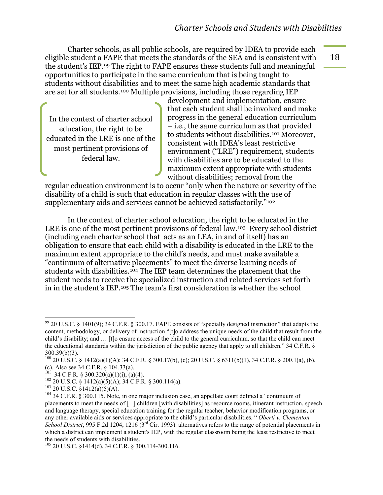Charter schools, as all public schools, are required by IDEA to provide each eligible student a FAPE that meets the standards of the SEA and is consistent with the student's IEP.[99](#page-19-0) The right to FAPE ensures these students full and meaningful opportunities to participate in the same curriculum that is being taught to students without disabilities and to meet the same high academic standards that are set for all students.[100](#page-19-1) Multiple provisions, including those regarding IEP

In the context of charter school education, the right to be educated in the LRE is one of the most pertinent provisions of federal law.

development and implementation, ensure that each student shall be involved and make progress in the general education curriculum – i.e., the same curriculum as that provided to students without disabilities.[101](#page-19-2) Moreover, consistent with IDEA's least restrictive environment ("LRE") requirement, students with disabilities are to be educated to the maximum extent appropriate with students without disabilities; removal from the

regular education environment is to occur "only when the nature or severity of the disability of a child is such that education in regular classes with the use of supplementary aids and services cannot be achieved satisfactorily."<sup>[102](#page-19-3)</sup>

In the context of charter school education, the right to be educated in the LRE is one of the most pertinent provisions of federal law.[103](#page-19-4) Every school district (including each charter school that acts as an LEA, in and of itself) has an obligation to ensure that each child with a disability is educated in the LRE to the maximum extent appropriate to the child's needs, and must make available a "continuum of alternative placements" to meet the diverse learning needs of students with disabilities.[104](#page-19-5) The IEP team determines the placement that the student needs to receive the specialized instruction and related services set forth in in the student's IEP.[105](#page-19-6) The team's first consideration is whether the school

<span id="page-19-0"></span> $^{99}$  20 U.S.C. § 1401(9); 34 C.F.R. § 300.17. FAPE consists of "specially designed instruction" that adapts the content, methodology, or delivery of instruction "[t]o address the unique needs of the child that result from the child's disability; and … [t]o ensure access of the child to the general curriculum, so that the child can meet the educational standards within the jurisdiction of the public agency that apply to all children." 34 C.F.R. § 300.39(b)(3).

<span id="page-19-1"></span><sup>100</sup> 20 U.S.C. § 1412(a)(1)(A); 34 C.F.R. § 300.17(b), (c); 20 U.S.C. § 6311(b)(1), 34 C.F.R. § 200.1(a), (b), (c). Also see 34 C.F.R. § 104.33(a).<br><sup>101</sup> 34 C.F.R. § 300.320(a)(1)(i), (a)(4).

<span id="page-19-5"></span>

<span id="page-19-4"></span><span id="page-19-3"></span><span id="page-19-2"></span><sup>&</sup>lt;sup>102</sup> 20 U.S.C. § 1412(a)(5)(A); 34 C.F.R. § 300.114(a).<br><sup>103</sup> 20 U.S.C. § 1412(a)(5)(A).<br><sup>104</sup> 34 C.F.R. § 300.115. Note, in one major inclusion case, an appellate court defined a "continuum of placements to meet the needs of [ ] children [with disabilities] as resource rooms, itinerant instruction, speech and language therapy, special education training for the regular teacher, behavior modification programs, or any other available aids or services appropriate to the child's particular disabilities. " *Oberti v. Clementon School District*, 995 F.2d 1204, 1216 (3rd Cir. 1993). alternatives refers to the range of potential placements in which a district can implement a student's IEP, with the regular classroom being the least restrictive to meet the needs of students with disabilities.

<span id="page-19-6"></span> $105$  20 U.S.C. §1414(d), 34 C.F.R. § 300.114-300.116.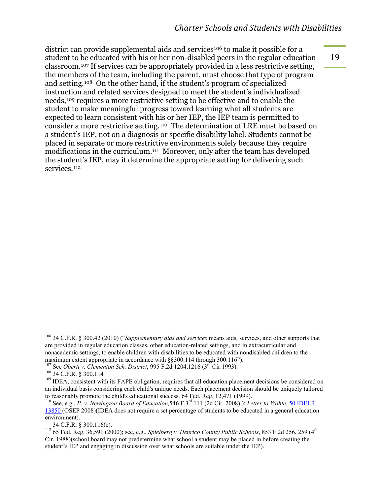19

district can provide supplemental aids and services<sup>[106](#page-20-0)</sup> to make it possible for a student to be educated with his or her non-disabled peers in the regular education classroom.[107](#page-20-1) If services can be appropriately provided in a less restrictive setting, the members of the team, including the parent, must choose that type of program and setting.[108](#page-20-2) On the other hand, if the student's program of specialized instruction and related services designed to meet the student's individualized needs,[109](#page-20-3) requires a more restrictive setting to be effective and to enable the student to make meaningful progress toward learning what all students are expected to learn consistent with his or her IEP, the IEP team is permitted to consider a more restrictive setting.[110](#page-20-4) The determination of LRE must be based on a student's IEP, not on a diagnosis or specific disability label. Students cannot be placed in separate or more restrictive environments solely because they require modifications in the curriculum.[111](#page-20-5) Moreover, only after the team has developed the student's IEP, may it determine the appropriate setting for delivering such services.<sup>[112](#page-20-6)</sup>

<span id="page-20-0"></span><sup>&</sup>lt;sup>106</sup> 34 C.F.R. § 300.42 (2010) ("*Supplementary aids and services* means aids, services, and other supports that are provided in regular education classes, other education-related settings, and in extracurricular and nonacademic settings, to enable children with disabilities to be educated with nondisabled children to the maximum extent appropriate in accordance with  $\S$ §300.114 through 300.116").

<span id="page-20-1"></span><sup>107</sup> See *Oberti v. Clementon Sch. District*, 995 F.2d 1204,1216 (3<sup>rd</sup> Cir.1993). <sup>108</sup> 34 C.F.R. § 300.114

<span id="page-20-3"></span><span id="page-20-2"></span><sup>&</sup>lt;sup>109</sup> IDEA, consistent with its FAPE obligation, requires that all education placement decisions be considered on an individual basis considering each child's unique needs. Each placement decision should be uniquely tailored<br>to reasonably promote the child's educational success. 64 Fed. Reg. 12,471 (1999).

<span id="page-20-4"></span><sup>&</sup>lt;sup>110</sup> See, e.g., *P. v. Newington Board of Education*,546 F.3<sup>rd</sup> 111 (2d Cir. 2008).); *Letter to Wohle*, 50 IDELR 13850 (OSEP 2008)(IDEA does not require a set percentage of students to be educated in a general education environment).<br> $^{111}$  34 C.F.R. § 300.116(e).

<span id="page-20-6"></span><span id="page-20-5"></span><sup>&</sup>lt;sup>112</sup> 65 Fed. Reg. 36,591 (2000); see, e.g., *Spielberg v. Henrico County Public Schools*, 853 F.2d 256, 259 (4<sup>th</sup> Cir. 1988)(school board may not predetermine what school a student may be placed in before creating the student's IEP and engaging in discussion over what schools are suitable under the IEP).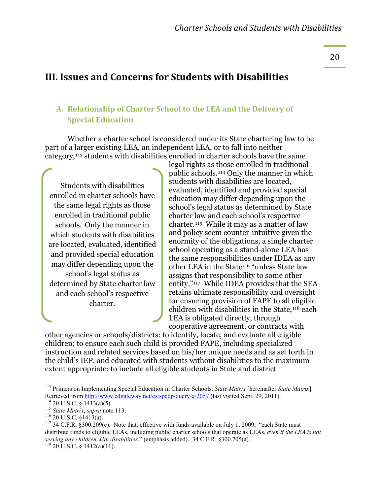20

#### **III. Issues and Concerns for Students with Disabilities**

#### **A.** Relationship of Charter School to the LEA and the Delivery of **Special Education**

Whether a charter school is considered under its State chartering law to be part of a larger existing LEA, an independent LEA, or to fall into neither category,[113](#page-21-0) students with disabilities enrolled in charter schools have the same

Students with disabilities enrolled in charter schools have the same legal rights as those enrolled in traditional public schools. Only the manner in which students with disabilities are located, evaluated, identified and provided special education may differ depending upon the school's legal status as determined by State charter law and each school's respective charter.

legal rights as those enrolled in traditional public schools.[114](#page-21-1) Only the manner in which students with disabilities are located, evaluated, identified and provided special education may differ depending upon the school's legal status as determined by State charter law and each school's respective charter.[115](#page-21-2) While it may as a matter of law and policy seem counter-intuitive given the enormity of the obligations, a single charter school operating as a stand-alone LEA has the same responsibilities under IDEA as any other LEA in the State[116](#page-21-3) "unless State law assigns that responsibility to some other entity."[117](#page-21-4) While IDEA provides that the SEA retains ultimate responsibility and oversight for ensuring provision of FAPE to all eligible children with disabilities in the State,[118](#page-21-5) each LEA is obligated directly, through cooperative agreement, or contracts with

other agencies or schools/districts: to identify, locate, and evaluate all eligible children; to ensure each such child is provided FAPE, including specialized instruction and related services based on his/her unique needs and as set forth in the child's IEP, and educated with students without disabilities to the maximum extent appropriate; to include all eligible students in State and district

<span id="page-21-0"></span><sup>&</sup>lt;sup>113</sup> Primers on Implementing Special Education in Charter Schools. *State Matrix* [hereinafter *State Matrix*]. Retrieved from http://www.edgateway.net/cs/spedp/query/q/2057 (last visited Sept. 29, 2011).

<span id="page-21-5"></span><span id="page-21-4"></span><span id="page-21-3"></span>

<span id="page-21-2"></span><span id="page-21-1"></span><sup>&</sup>lt;sup>114</sup> 20 U.S.C. § 1413(a)(5).<br><sup>115</sup> *State Matrix, supra* note 113.<br><sup>116</sup> 20 U.S.C. § 1413(a).<br><sup>117</sup> 34 C.F.R. § 300.209(c). Note that, effective with funds available on July 1, 2009, "each State must distribute funds to eligible LEAs, including public charter schools that operate as LEAs, *even if the LEA is not serving any children with disabilities*." (emphasis added). 34 C.F.R. §300.705(a). <sup>118</sup> 20 U.S.C. § 1412(a)(11).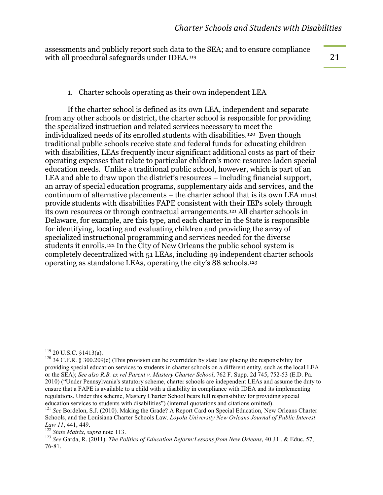assessments and publicly report such data to the SEA; and to ensure compliance with all procedural safeguards under IDEA.<sup>[119](#page-22-0)</sup>

#### 21

#### 1. Charter schools operating as their own independent LEA

If the charter school is defined as its own LEA, independent and separate from any other schools or district, the charter school is responsible for providing the specialized instruction and related services necessary to meet the individualized needs of its enrolled students with disabilities.[120](#page-22-1) Even though traditional public schools receive state and federal funds for educating children with disabilities, LEAs frequently incur significant additional costs as part of their operating expenses that relate to particular children's more resource-laden special education needs. Unlike a traditional public school, however, which is part of an LEA and able to draw upon the district's resources – including financial support, an array of special education programs, supplementary aids and services, and the continuum of alternative placements – the charter school that is its own LEA must provide students with disabilities FAPE consistent with their IEPs solely through its own resources or through contractual arrangements.[121](#page-22-2) All charter schools in Delaware, for example, are this type, and each charter in the State is responsible for identifying, locating and evaluating children and providing the array of specialized instructional programming and services needed for the diverse students it enrolls.[122](#page-22-3) In the City of New Orleans the public school system is completely decentralized with 51 LEAs, including 49 independent charter schools operating as standalone LEAs, operating the city's 88 schools.[123](#page-22-4)

<span id="page-22-1"></span><span id="page-22-0"></span><sup>&</sup>lt;sup>119</sup> 20 U.S.C. §1413(a).<br><sup>120</sup> 34 C.F.R. § 300.209(c) (This provision can be overridden by state law placing the responsibility for providing special education services to students in charter schools on a different entity, such as the local LEA or the SEA); *See also R.B. ex rel Parent v. Mastery Charter School*, 762 F. Supp. 2d 745, 752-53 (E.D. Pa. 2010) ("Under Pennsylvania's statutory scheme, charter schools are independent LEAs and assume the duty to ensure that a FAPE is available to a child with a disability in compliance with IDEA and its implementing regulations. Under this scheme, Mastery Charter School bears full responsibility for providing special education services to students with disabilities") (internal quotations and citations omitted). <sup>121</sup> *See* Bordelon, S.J. (2010). Making the Grade? A Report Card on Special Education, New Orleans Charter

<span id="page-22-2"></span>Schools, and the Louisiana Charter Schools Law. *Loyola University New Orleans Journal of Public Interest Law 11*, 441, 449.<br><sup>122</sup> *State Matrix, supra* note 113.<br><sup>123</sup> *See* Garda, R. (2011). *The Politics of Education Reform:Lessons from New Orleans*, 40 J.L. & Educ. 57,

<span id="page-22-4"></span><span id="page-22-3"></span><sup>76-81.</sup>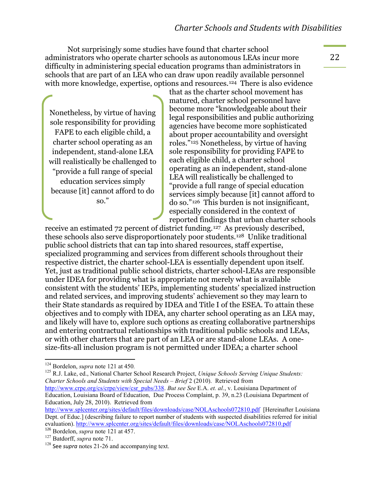Not surprisingly some studies have found that charter school administrators who operate charter schools as autonomous LEAs incur more difficulty in administering special education programs than administrators in schools that are part of an LEA who can draw upon readily available personnel with more knowledge, expertise, options and resources.<sup>[124](#page-23-0)</sup> There is also evidence

Nonetheless, by virtue of having sole responsibility for providing FAPE to each eligible child, a charter school operating as an independent, stand-alone LEA will realistically be challenged to "provide a full range of special education services simply because [it] cannot afford to do so."

that as the charter school movement has matured, charter school personnel have become more "knowledgeable about their legal responsibilities and public authorizing agencies have become more sophisticated about proper accountability and oversight roles."[125](#page-23-1) Nonetheless, by virtue of having sole responsibility for providing FAPE to each eligible child, a charter school operating as an independent, stand-alone LEA will realistically be challenged to "provide a full range of special education services simply because [it] cannot afford to do so."[126](#page-23-2) This burden is not insignificant, especially considered in the context of reported findings that urban charter schools

receive an estimated 72 percent of district funding.[127](#page-23-3) As previously described, these schools also serve disproportionately poor students.[128](#page-23-4) Unlike traditional public school districts that can tap into shared resources, staff expertise, specialized programming and services from different schools throughout their respective district, the charter school-LEA is essentially dependent upon itself. Yet, just as traditional public school districts, charter school-LEAs are responsible under IDEA for providing what is appropriate not merely what is available consistent with the students' IEPs, implementing students' specialized instruction and related services, and improving students' achievement so they may learn to their State standards as required by IDEA and Title I of the ESEA. To attain these objectives and to comply with IDEA, any charter school operating as an LEA may, and likely will have to, explore such options as creating collaborative partnerships and entering contractual relationships with traditional public schools and LEAs, or with other charters that are part of an LEA or are stand-alone LEAs. A onesize-fits-all inclusion program is not permitted under IDEA; a charter school

<span id="page-23-1"></span><sup>125</sup> R.J. Lake, ed., National Charter School Research Project, *Unique Schools Serving Unique Students: Charter Schools and Students with Special Needs – Brief* 2 (2010). Retrieved from

[http://www.crpe.org/cs/crpe/view/csr\\_pubs/338.](http://www.crpe.org/cs/crpe/view/csr_pubs/338) *But see See* E.A. *et. al.*, v. Louisiana Department of Education, Louisiana Board of Education, Due Process Complaint, p. 39, n.23 (Louisiana Department of Education, July 28, 2010). Retrieved from

<http://www.splcenter.org/sites/default/files/downloads/case/NOLAschools072810.pdf>[Hereinafter Louisiana Dept. of Educ.] (describing failure to report number of students with suspected disabilities referred for initial evaluation). <http://www.splcenter.org/sites/default/files/downloads/case/NOLAschools072810.pdf>

<span id="page-23-0"></span><sup>&</sup>lt;sup>124</sup> Bordelon, *supra* note 121 at 450.

<span id="page-23-2"></span><sup>126</sup> Bordelon, *suppartners*<br><sup>126</sup> Bordelon, *supra* note 121 at 457.

<span id="page-23-3"></span>

<span id="page-23-4"></span> $128$  See *supra* notes 21-26 and accompanying text.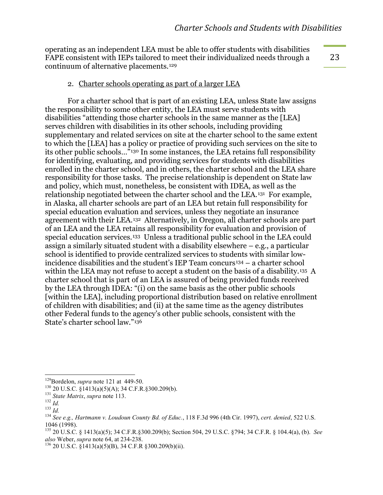operating as an independent LEA must be able to offer students with disabilities FAPE consistent with IEPs tailored to meet their individualized needs through a continuum of alternative placements.[129](#page-24-0)

23

#### 2. Charter schools operating as part of a larger LEA

For a charter school that is part of an existing LEA, unless State law assigns the responsibility to some other entity, the LEA must serve students with disabilities "attending those charter schools in the same manner as the [LEA] serves children with disabilities in its other schools, including providing supplementary and related services on site at the charter school to the same extent to which the [LEA] has a policy or practice of providing such services on the site to its other public schools…"[130](#page-24-1) In some instances, the LEA retains full responsibility for identifying, evaluating, and providing services for students with disabilities enrolled in the charter school, and in others, the charter school and the LEA share responsibility for those tasks. The precise relationship is dependent on State law and policy, which must, nonetheless, be consistent with IDEA, as well as the relationship negotiated between the charter school and the LEA.[131](#page-24-2) For example, in Alaska, all charter schools are part of an LEA but retain full responsibility for special education evaluation and services, unless they negotiate an insurance agreement with their LEA.[132](#page-24-3) Alternatively, in Oregon, all charter schools are part of an LEA and the LEA retains all responsibility for evaluation and provision of special education services.[133](#page-24-4) Unless a traditional public school in the LEA could assign a similarly situated student with a disability elsewhere – e.g., a particular school is identified to provide centralized services to students with similar low-incidence disabilities and the student's IEP Team concurs<sup>[134](#page-24-5)</sup> – a charter school within the LEA may not refuse to accept a student on the basis of a disability.<sup>[135](#page-24-6)</sup> A charter school that is part of an LEA is assured of being provided funds received by the LEA through IDEA: "(i) on the same basis as the other public schools [within the LEA], including proportional distribution based on relative enrollment of children with disabilities; and (ii) at the same time as the agency distributes other Federal funds to the agency's other public schools, consistent with the State's charter school law."[136](#page-24-7)

<span id="page-24-2"></span>

<span id="page-24-3"></span>

<span id="page-24-5"></span><span id="page-24-4"></span>

<span id="page-24-1"></span><span id="page-24-0"></span><sup>&</sup>lt;sup>129</sup>Bordelon, *supra* note 121 at 449-50.<br>
<sup>130</sup> 20 U.S.C. §1413(a)(5)(A); 34 C.F.R.§300.209(b).<br>
<sup>131</sup> *State Matrix, supra* note 113.<br>
<sup>132</sup> *Id.*<br>
<sup>133</sup> *Id.*<br>
<sup>134</sup> *See e.g., Hartmann v. Loudoun County Bd. of Educ.,* 1046 (1998).

<span id="page-24-6"></span><sup>135</sup> 20 U.S.C. § 1413(a)(5); 34 C.F.R.§300.209(b); Section 504, 29 U.S.C. §794; 34 C.F.R. § 104.4(a), (b). *See* 

<span id="page-24-7"></span><sup>&</sup>lt;sup>136</sup> 20 U.S.C. §1413(a)(5)(B), 34 C.F.R §300.209(b)(ii).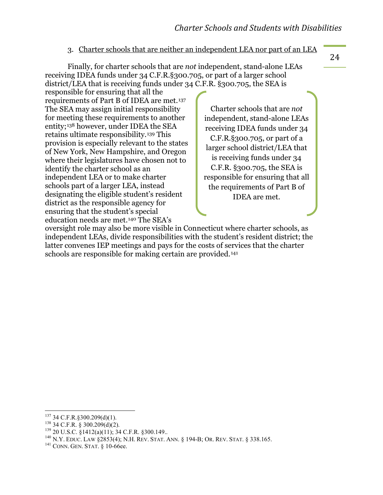#### 3. Charter schools that are neither an independent LEA nor part of an LEA

Finally, for charter schools that are *not* independent, stand-alone LEAs receiving IDEA funds under 34 C.F.R.§300.705, or part of a larger school district/LEA that is receiving funds under 34 C.F.R. §300.705, the SEA is

responsible for ensuring that all the requirements of Part B of IDEA are met.[137](#page-25-0) The SEA may assign initial responsibility for meeting these requirements to another entity;[138](#page-25-1) however, under IDEA the SEA retains ultimate responsibility.[139](#page-25-2) This provision is especially relevant to the states of New York, New Hampshire, and Oregon where their legislatures have chosen not to identify the charter school as an independent LEA or to make charter schools part of a larger LEA, instead designating the eligible student's resident district as the responsible agency for ensuring that the student's special education needs are met.[140](#page-25-3) The SEA's

Charter schools that are *not* independent, stand-alone LEAs receiving IDEA funds under 34 C.F.R.§300.705, or part of a larger school district/LEA that is receiving funds under 34 C.F.R. §300.705, the SEA is responsible for ensuring that all the requirements of Part B of IDEA are met.

oversight role may also be more visible in Connecticut where charter schools, as independent LEAs, divide responsibilities with the student's resident district; the latter convenes IEP meetings and pays for the costs of services that the charter schools are responsible for making certain are provided.<sup>141</sup>

<span id="page-25-2"></span>

<span id="page-25-1"></span><span id="page-25-0"></span><sup>&</sup>lt;sup>137</sup> 34 C.F.R. § 300.209(d)(1).<br><sup>138</sup> 34 C.F.R. § 300.209(d)(2).<br><sup>139</sup> 20 U.S.C. § 1412(a)(11); 34 C.F.R. § 300.149..<br><sup>140</sup> N.Y. EDUC. LAW § 2853(4); N.H. REV. STAT. ANN. § 194-B; OR. REV. STAT. § 338.165.<br><sup>141</sup> CONN. GE

<span id="page-25-4"></span><span id="page-25-3"></span>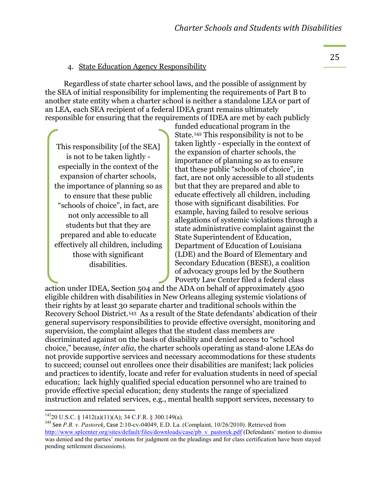#### 4. State Education Agency Responsibility

Regardless of state charter school laws, and the possible of assignment by the SEA of initial responsibility for implementing the requirements of Part B to another state entity when a charter school is neither a standalone LEA or part of an LEA, each SEA recipient of a federal IDEA grant remains ultimately responsible for ensuring that the requirements of IDEA are met by each publicly

This responsibility [of the SEA] is not to be taken lightly especially in the context of the expansion of charter schools, the importance of planning so as to ensure that these public "schools of choice", in fact, are not only accessible to all students but that they are prepared and able to educate effectively all children, including those with significant disabilities.

funded educational program in the State.[142](#page-26-0) This responsibility is not to be taken lightly - especially in the context of the expansion of charter schools, the importance of planning so as to ensure that these public "schools of choice", in fact, are not only accessible to all students but that they are prepared and able to educate effectively all children, including those with significant disabilities. For example, having failed to resolve serious allegations of systemic violations through a state administrative complaint against the State Superintendent of Education, Department of Education of Louisiana (LDE) and the Board of Elementary and Secondary Education (BESE), a coalition of advocacy groups led by the Southern Poverty Law Center filed a federal class

action under IDEA, Section 504 and the ADA on behalf of approximately 4500 eligible children with disabilities in New Orleans alleging systemic violations of their rights by at least 30 separate charter and traditional schools within the Recovery School District.[143](#page-26-1) As a result of the State defendants' abdication of their general supervisory responsibilities to provide effective oversight, monitoring and supervision, the complaint alleges that the student class members are discriminated against on the basis of disability and denied access to "school choice," because, *inter alia*, the charter schools operating as stand-alone LEAs do not provide supportive services and necessary accommodations for these students to succeed; counsel out enrollees once their disabilities are manifest; lack policies and practices to identify, locate and refer for evaluation students in need of special education; lack highly qualified special education personnel who are trained to provide effective special education; deny students the range of specialized instruction and related services, e.g., mental health support services, necessary to

<span id="page-26-0"></span> $^{142}$ 20 U.S.C. § 1412(a)(11)(A); 34 C.F.R. § 300.149(a).

<span id="page-26-1"></span><sup>&</sup>lt;sup>143</sup> See *P.B. v. Pastorek*, Case 2:10-cv-04049, E.D. La. (Complaint, 10/26/2010). Retrieved from [http://www.splcenter.org/sites/default/files/downloads/case/pb\\_v\\_pastorek.pdf](http://www.splcenter.org/sites/default/files/downloads/case/pb_v_pastorek.pdf) (Defendants' motion to dismiss was denied and the parties' motions for judgment on the pleadings and for class certification have been stayed pending settlement discussions).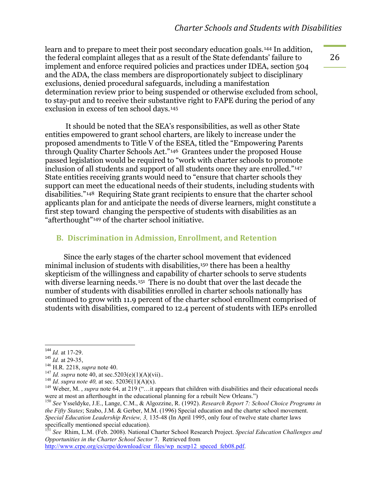learn and to prepare to meet their post secondary education goals.[144](#page-27-0) In addition, the federal complaint alleges that as a result of the State defendants' failure to implement and enforce required policies and practices under IDEA, section 504 and the ADA, the class members are disproportionately subject to disciplinary exclusions, denied procedural safeguards, including a manifestation determination review prior to being suspended or otherwise excluded from school, to stay-put and to receive their substantive right to FAPE during the period of any exclusion in excess of ten school days.[145](#page-27-1)

It should be noted that the SEA's responsibilities, as well as other State entities empowered to grant school charters, are likely to increase under the proposed amendments to Title V of the ESEA, titled the "Empowering Parents through Quality Charter Schools Act."[146](#page-27-2) Grantees under the proposed House passed legislation would be required to "work with charter schools to promote inclusion of all students and support of all students once they are enrolled."[147](#page-27-3) State entities receiving grants would need to "ensure that charter schools they support can meet the educational needs of their students, including students with disabilities."[148](#page-27-4) Requiring State grant recipients to ensure that the charter school applicants plan for and anticipate the needs of diverse learners, might constitute a first step toward changing the perspective of students with disabilities as an "afterthought"[149](#page-27-5) of the charter school initiative.

#### **B.** Discrimination in Admission, Enrollment, and Retention

Since the early stages of the charter school movement that evidenced minimal inclusion of students with disabilities,<sup>[150](#page-27-6)</sup> there has been a healthy skepticism of the willingness and capability of charter schools to serve students with diverse learning needs.<sup>[151](#page-27-7)</sup> There is no doubt that over the last decade the number of students with disabilities enrolled in charter schools nationally has continued to grow with 11.9 percent of the charter school enrollment comprised of students with disabilities, compared to 12.4 percent of students with IEPs enrolled

<span id="page-27-7"></span><sup>151</sup> *See* Rhim, L.M. (Feb. 2008). National Charter School Research Project. *Special Education Challenges and Opportunities in the Charter School Sector* 7. Retrieved from

[http://www.crpe.org/cs/crpe/download/csr\\_files/wp\\_ncsrp12\\_speced\\_feb08.pdf.](http://www.crpe.org/cs/crpe/download/csr_files/wp_ncsrp12_speced_feb08.pdf)

<span id="page-27-0"></span> $144$  *Id.* at 17-29.

<span id="page-27-1"></span><sup>&</sup>lt;sup>145</sup> *Id.* at 29-35,<br><sup>146</sup> H.R. 2218, *supra* note 40.

<span id="page-27-3"></span>

<span id="page-27-5"></span><span id="page-27-4"></span>

<span id="page-27-2"></span><sup>&</sup>lt;sup>146</sup> H.R. 2218, *supra* note 40.<br><sup>147</sup> *Id. supra* note 40, at sec. 5203(e)(1)(A)(vii)..<br><sup>148</sup> *Id. supra note 40*, at sec. 5203€(1)(A)(x).<br><sup>149</sup> Weber, M., *supra* note 64, at 219 ("...it appears that children with disa were at most an afterthought in the educational planning for a rebuilt New Orleans.")

<span id="page-27-6"></span><sup>150</sup> *See* Ysseldyke, J.E., Lange, C.M., & Algozzine, R. (1992). *Research Report 7: School Choice Programs in the Fifty States*; Szabo, J.M. & Gerber, M.M. (1996) Special education and the charter school movement. *Special Education Leadership Review, 3,* 135-48 (In April 1995, only four of twelve state charter laws specifically mentioned special education).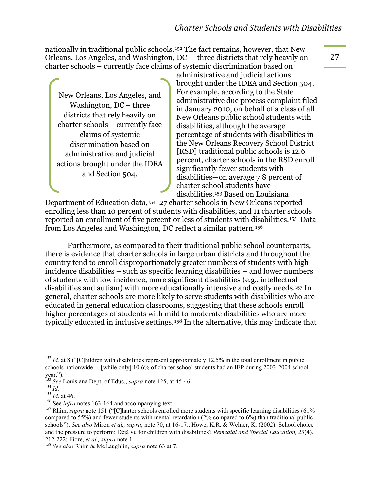nationally in traditional public schools.[152](#page-28-0) The fact remains, however, that New Orleans, Los Angeles, and Washington, DC – three districts that rely heavily on charter schools – currently face claims of systemic discrimination based on

New Orleans, Los Angeles, and Washington, DC – three districts that rely heavily on charter schools – currently face claims of systemic discrimination based on administrative and judicial actions brought under the IDEA and Section 504.

administrative and judicial actions brought under the IDEA and Section 504. For example, according to the State administrative due process complaint filed in January 2010, on behalf of a class of all New Orleans public school students with disabilities, although the average percentage of students with disabilities in the New Orleans Recovery School District [RSD] traditional public schools is 12.6 percent, charter schools in the RSD enroll significantly fewer students with disabilities—on average 7.8 percent of charter school students have disabilities.[153](#page-28-1) Based on Louisiana

Department of Education data,[154](#page-28-2) 27 charter schools in New Orleans reported enrolling less than 10 percent of students with disabilities, and 11 charter schools reported an enrollment of five percent or less of students with disabilities.[155](#page-28-3) Data from Los Angeles and Washington, DC reflect a similar pattern.[156](#page-28-4)

Furthermore, as compared to their traditional public school counterparts, there is evidence that charter schools in large urban districts and throughout the country tend to enroll disproportionately greater numbers of students with high incidence disabilities – such as specific learning disabilities – and lower numbers of students with low incidence, more significant disabilities (e.g., intellectual disabilities and autism) with more educationally intensive and costly needs.[157](#page-28-5) In general, charter schools are more likely to serve students with disabilities who are educated in general education classrooms, suggesting that these schools enroll higher percentages of students with mild to moderate disabilities who are more typically educated in inclusive settings.[158](#page-28-6) In the alternative, this may indicate that

<span id="page-28-0"></span> $152$  *Id.* at 8 ("[C]hildren with disabilities represent approximately 12.5% in the total enrollment in public schools nationwide… [while only] 10.6% of charter school students had an IEP during 2003-2004 school year.").<br><sup>153</sup> See Louisiana Dept. of Educ., *supra* note 125, at 45-46.

<span id="page-28-5"></span><span id="page-28-4"></span>

<span id="page-28-3"></span><span id="page-28-2"></span><span id="page-28-1"></span>be Louisiana Dept. of Equal, supply note 120, at the set of the 154 Id.<br>
154 Id. at 46.<br>
<sup>155</sup> Id. at 46.<br>
<sup>156</sup> See *infra* notes 163-164 and accompanying text.<br>
<sup>157</sup> Rhim, *supra* note 151 ("[C]harter schools enrolled compared to 55%) and fewer students with mental retardation (2% compared to 6%) than traditional public schools"). *See also* Miron *et al., supra*, note 70, at 16-17*.*; Howe, K.R. & Welner, K. (2002). School choice and the pressure to perform: Déjà vu for children with disabilities? *Remedial and Special Education, 23*(4). 212-222; Fiore, *et al., supra* note 1. <sup>158</sup> *See also* Rhim & McLaughlin, *supra* note 63 at 7.

<span id="page-28-6"></span>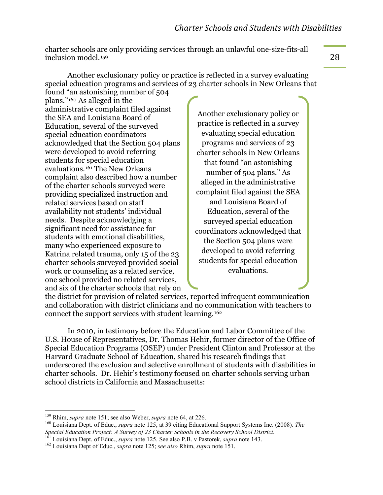charter schools are only providing services through an unlawful one-size-fits-all inclusion model.[159](#page-29-0)

Another exclusionary policy or practice is reflected in a survey evaluating special education programs and services of 23 charter schools in New Orleans that

found "an astonishing number of 504 plans."[160](#page-29-1) As alleged in the administrative complaint filed against the SEA and Louisiana Board of Education, several of the surveyed special education coordinators acknowledged that the Section 504 plans were developed to avoid referring students for special education evaluations.[161](#page-29-2) The New Orleans complaint also described how a number of the charter schools surveyed were providing specialized instruction and related services based on staff availability not students' individual needs. Despite acknowledging a significant need for assistance for students with emotional disabilities, many who experienced exposure to Katrina related trauma, only 15 of the 23 charter schools surveyed provided social work or counseling as a related service, one school provided no related services, and six of the charter schools that rely on

Another exclusionary policy or practice is reflected in a survey evaluating special education programs and services of 23 charter schools in New Orleans that found "an astonishing number of 504 plans." As alleged in the administrative complaint filed against the SEA and Louisiana Board of Education, several of the surveyed special education coordinators acknowledged that the Section 504 plans were developed to avoid referring students for special education evaluations.

the district for provision of related services, reported infrequent communication and collaboration with district clinicians and no communication with teachers to connect the support services with student learning.[162](#page-29-3)

In 2010, in testimony before the Education and Labor Committee of the U.S. House of Representatives, Dr. Thomas Hehir, former director of the Office of Special Education Programs (OSEP) under President Clinton and Professor at the Harvard Graduate School of Education, shared his research findings that underscored the exclusion and selective enrollment of students with disabilities in charter schools. Dr. Hehir's testimony focused on charter schools serving urban school districts in California and Massachusetts:

<span id="page-29-1"></span><span id="page-29-0"></span><sup>&</sup>lt;sup>159</sup> Rhim, *supra* note 151; see also Weber, *supra* note 64, at 226.<br><sup>160</sup> Louisiana Dept. of Educ., *supra* note 125, at 39 citing Educational Support Systems Inc. (2008). *The* Special Education Project: A Survey of 23 Charter Schools in the Recovery School District.<br><sup>161</sup> Louisiana Dept. of Educ., *supra* note 125. See also P.B. v Pastorek, *supra* note 143.<br><sup>162</sup> Louisiana Dept of Educ., *supr* 

<span id="page-29-3"></span><span id="page-29-2"></span>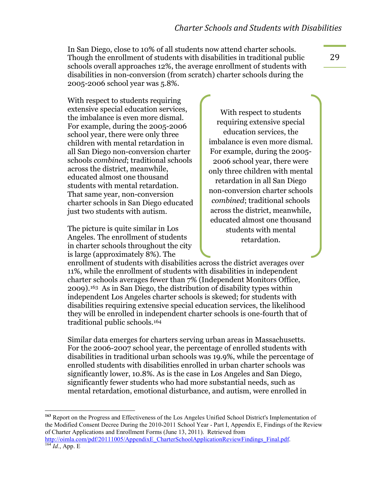In San Diego, close to 10% of all students now attend charter schools. Though the enrollment of students with disabilities in traditional public schools overall approaches 12%, the average enrollment of students with disabilities in non-conversion (from scratch) charter schools during the 2005-2006 school year was 5.8%.

With respect to students requiring. extensive special education services, the imbalance is even more dismal. For example, during the 2005-2006 school year, there were only three children with mental retardation in all San Diego non-conversion charter schools *combined*; traditional schools across the district, meanwhile, educated almost one thousand students with mental retardation. That same year, non-conversion charter schools in San Diego educated just two students with autism.

The picture is quite similar in Los Angeles. The enrollment of students in charter schools throughout the city is large (approximately 8%). The

With respect to students requiring extensive special education services, the imbalance is even more dismal. For example, during the 2005- 2006 school year, there were only three children with mental retardation in all San Diego non-conversion charter schools *combined*; traditional schools across the district, meanwhile, educated almost one thousand students with mental retardation.

enrollment of students with disabilities across the district averages over 11%, while the enrollment of students with disabilities in independent charter schools averages fewer than 7% (Independent Monitors Office, 2009)[.163](#page-30-0) As in San Diego, the distribution of disability types within independent Los Angeles charter schools is skewed; for students with disabilities requiring extensive special education services, the likelihood they will be enrolled in independent charter schools is one-fourth that of traditional public schools.[164](#page-30-1)

Similar data emerges for charters serving urban areas in Massachusetts. For the 2006-2007 school year, the percentage of enrolled students with disabilities in traditional urban schools was 19.9%, while the percentage of enrolled students with disabilities enrolled in urban charter schools was significantly lower, 10.8%. As is the case in Los Angeles and San Diego, significantly fewer students who had more substantial needs, such as mental retardation, emotional disturbance, and autism, were enrolled in

<span id="page-30-0"></span><sup>163</sup> Report on the Progress and Effectiveness of the Los Angeles Unified School District's Implementation of the Modified Consent Decree During the 2010-2011 School Year - Part I, Appendix E, Findings of the Review of Charter Applications and Enrollment Forms (June 13, 2011). Retrieved from [http://oimla.com/pdf/20111005/AppendixE\\_CharterSchoolApplicationReviewFindings\\_Final.pdf. 164](http://oimla.com/pdf/20111005/AppendixE_CharterSchoolApplicationReviewFindings_Final.pdf) *Id.*, App. E

<span id="page-30-1"></span>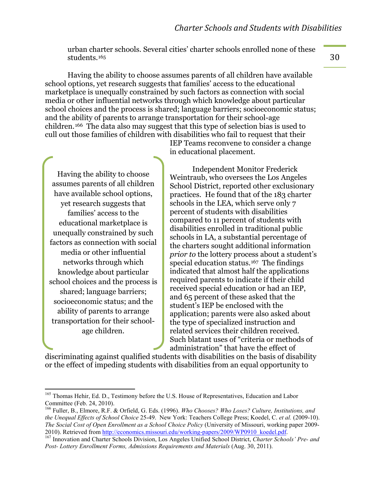urban charter schools. Several cities' charter schools enrolled none of these students.[165](#page-31-0)

Having the ability to choose assumes parents of all children have available school options, yet research suggests that families' access to the educational marketplace is unequally constrained by such factors as connection with social media or other influential networks through which knowledge about particular school choices and the process is shared; language barriers; socioeconomic status; and the ability of parents to arrange transportation for their school-age children.[166](#page-31-1) The data also may suggest that this type of selection bias is used to cull out those families of children with disabilities who fail to request that their

Having the ability to choose assumes parents of all children have available school options, yet research suggests that families' access to the educational marketplace is unequally constrained by such factors as connection with social media or other influential networks through which knowledge about particular school choices and the process is shared; language barriers; socioeconomic status; and the ability of parents to arrange transportation for their schoolage children.

IEP Teams reconvene to consider a change in educational placement.

Independent Monitor Frederick Weintraub, who oversees the Los Angeles School District, reported other exclusionary practices. He found that of the 183 charter schools in the LEA, which serve only 7 percent of students with disabilities compared to 11 percent of students with disabilities enrolled in traditional public schools in LA, a substantial percentage of the charters sought additional information *prior to* the lottery process about a student's special education status. [167](#page-31-2) The findings indicated that almost half the applications required parents to indicate if their child received special education or had an IEP, and 65 percent of these asked that the student's IEP be enclosed with the application; parents were also asked about the type of specialized instruction and related services their children received. Such blatant uses of "criteria or methods of administration" that have the effect of

discriminating against qualified students with disabilities on the basis of disability or the effect of impeding students with disabilities from an equal opportunity to

<span id="page-31-0"></span><sup>&</sup>lt;sup>165</sup> Thomas Hehir, Ed. D., Testimony before the U.S. House of Representatives, Education and Labor Committee (Feb. 24, 2010).

<span id="page-31-1"></span><sup>166</sup> Fuller, B., Elmore, R.F. & Orfield, G. Eds. (1996). *Who Chooses? Who Loses? Culture, Institutions, and the Unequal Effects of School Choice* 25-49. New York: Teachers College Press; Koedel, C. *et al.* (2009-10). *The Social Cost of Open Enrollment as a School Choice Policy* (University of Missouri, working paper 2009-2010). Retrieved from http://economics.missouri.edu/working-papers/2009/WP0910 koedel.pdf.

<span id="page-31-2"></span><sup>&</sup>lt;sup>167</sup> Innovation and Charter Schools Division, Los Angeles Unified School District, *Charter Schools' Pre- and* Post-Lottery Enrollment Forms, Admissions Requirements and Materials (Aug. 30, 2011).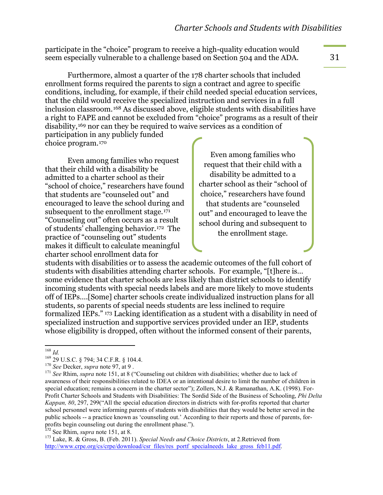participate in the "choice" program to receive a high-quality education would seem especially vulnerable to a challenge based on Section 504 and the ADA.

Furthermore, almost a quarter of the 178 charter schools that included enrollment forms required the parents to sign a contract and agree to specific conditions, including, for example, if their child needed special education services, that the child would receive the specialized instruction and services in a full inclusion classroom.[168](#page-32-0) As discussed above, eligible students with disabilities have a right to FAPE and cannot be excluded from "choice" programs as a result of their disability,[169](#page-32-1) nor can they be required to waive services as a condition of participation in any publicly funded

choice program.[170](#page-32-2)

Even among families who request that their child with a disability be admitted to a charter school as their "school of choice," researchers have found that students are "counseled out" and encouraged to leave the school during and subsequent to the enrollment stage.[171](#page-32-3) "Counseling out" often occurs as a result of students' challenging behavior.[172](#page-32-4) The practice of "counseling out" students makes it difficult to calculate meaningful charter school enrollment data for

Even among families who request that their child with a disability be admitted to a charter school as their "school of choice," researchers have found that students are "counseled out" and encouraged to leave the school during and subsequent to the enrollment stage.

students with disabilities or to assess the academic outcomes of the full cohort of students with disabilities attending charter schools. For example, "[t]here is… some evidence that charter schools are less likely than district schools to identify incoming students with special needs labels and are more likely to move students off of IEPs….[Some] charter schools create individualized instruction plans for all students, so parents of special needs students are less inclined to require formalized IEPs." [173](#page-32-5) Lacking identification as a student with a disability in need of specialized instruction and supportive services provided under an IEP, students whose eligibility is dropped, often without the informed consent of their parents,

<sup>%%%%%%%%%%%%%%%%%%%%%%%%%%%%%%%%%%%%%%%%%%%%%%%%%%%%%%%%%%</sup> <sup>168</sup> *Id.*

<span id="page-32-3"></span>

<span id="page-32-2"></span><span id="page-32-1"></span><span id="page-32-0"></span><sup>&</sup>lt;sup>169</sup> 29 U.S.C. § 794; 34 C.F.R. § 104.4.<br><sup>170</sup> *See* Decker, *supra* note 97, at 9.<br><sup>171</sup> *See* Rhim, *supra* note 151, at 8 ("Counseling out children with disabilities; whether due to lack of awareness of their responsibilities related to IDEA or an intentional desire to limit the number of children in special education; remains a concern in the charter sector"); Zollers, N.J. & Ramanathan, A.K. (1998). For-Profit Charter Schools and Students with Disabilities: The Sordid Side of the Business of Schooling, *Phi Delta Kappan, 80*, 297, 299("All the special education directors in districts with for-profits reported that charter school personnel were informing parents of students with disabilities that they would be better served in the public schools -- a practice known as 'counseling out.' According to their reports and those of parents, forprofits begin counseling out during the enrollment phase.").<br><sup>172</sup> See Rhim, *supra* note 151, at 8.

<span id="page-32-4"></span>

<span id="page-32-5"></span><sup>&</sup>lt;sup>173</sup> Lake, R. & Gross, B. (Feb. 2011). *Special Needs and Choice Districts*, at 2.Retrieved from [http://www.crpe.org/cs/crpe/download/csr\\_files/res\\_portf\\_specialneeds\\_lake\\_gross\\_feb11.pdf.](http://www.crpe.org/cs/crpe/download/csr_files/res_portf_specialneeds_lake_gross_feb11.pdf)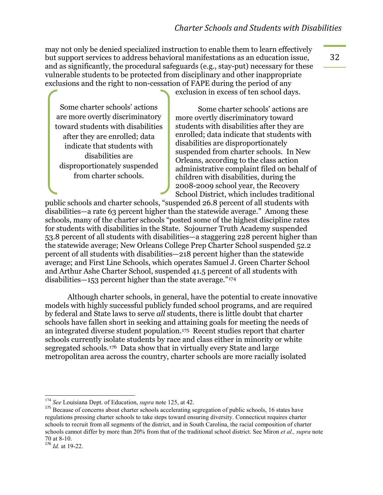may not only be denied specialized instruction to enable them to learn effectively but support services to address behavioral manifestations as an education issue, and as significantly, the procedural safeguards (e.g., stay-put) necessary for these vulnerable students to be protected from disciplinary and other inappropriate exclusions and the right to non-cessation of FAPE during the period of any

Some charter schools' actions are more overtly discriminatory toward students with disabilities after they are enrolled; data indicate that students with disabilities are disproportionately suspended from charter schools.

exclusion in excess of ten school days.

Some charter schools' actions are more overtly discriminatory toward students with disabilities after they are enrolled; data indicate that students with disabilities are disproportionately suspended from charter schools. In New Orleans, according to the class action administrative complaint filed on behalf of children with disabilities, during the 2008-2009 school year, the Recovery School District, which includes traditional

public schools and charter schools, "suspended 26.8 percent of all students with disabilities—a rate 63 percent higher than the statewide average." Among these schools, many of the charter schools "posted some of the highest discipline rates for students with disabilities in the State. Sojourner Truth Academy suspended 53.8 percent of all students with disabilities—a staggering 228 percent higher than the statewide average; New Orleans College Prep Charter School suspended 52.2 percent of all students with disabilities—218 percent higher than the statewide average; and First Line Schools, which operates Samuel J. Green Charter School and Arthur Ashe Charter School, suspended 41.5 percent of all students with disabilities—153 percent higher than the state average."[174](#page-33-0)

Although charter schools, in general, have the potential to create innovative models with highly successful publicly funded school programs, and are required by federal and State laws to serve *all* students, there is little doubt that charter schools have fallen short in seeking and attaining goals for meeting the needs of an integrated diverse student population. [175](#page-33-1) Recent studies report that charter schools currently isolate students by race and class either in minority or white segregated schools.[176](#page-33-2) Data show that in virtually every State and large metropolitan area across the country, charter schools are more racially isolated

<sup>&</sup>lt;sup>174</sup> See Louisiana Dept. of Education, *supra* note 125, at 42.

<span id="page-33-1"></span><span id="page-33-0"></span><sup>&</sup>lt;sup>175</sup> Because of concerns about charter schools accelerating segregation of public schools, 16 states have regulations pressing charter schools to take steps toward ensuring diversity. Connecticut requires charter schools to recruit from all segments of the district, and in South Carolina, the racial composition of charter schools cannot differ by more than 20% from that of the traditional school district. See Miron *et al., supra* note 70 at 8-10.

<span id="page-33-2"></span><sup>176</sup> *Id.* at 19-22.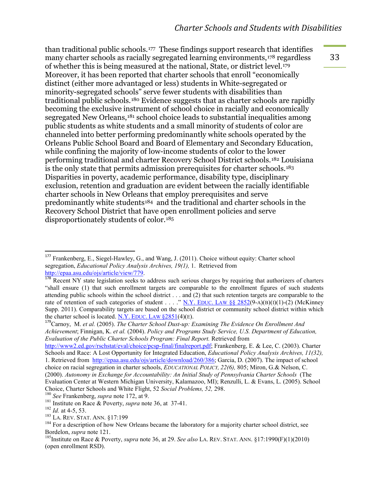than traditional public schools.[177](#page-34-0) These findings support research that identifies many charter schools as racially segregated learning environments,[178](#page-34-1) regardless of whether this is being measured at the national, State, or district level.[179](#page-34-2) Moreover, it has been reported that charter schools that enroll "economically distinct (either more advantaged or less) students in White-segregated or minority-segregated schools" serve fewer students with disabilities than traditional public schools.[180](#page-34-3) Evidence suggests that as charter schools are rapidly becoming the exclusive instrument of school choice in racially and economically segregated New Orleans,[181](#page-34-4) school choice leads to substantial inequalities among public students as white students and a small minority of students of color are channeled into better performing predominantly white schools operated by the Orleans Public School Board and Board of Elementary and Secondary Education, while confining the majority of low-income students of color to the lower performing traditional and charter Recovery School District schools.[182](#page-34-5) Louisiana is the only state that permits admission prerequisites for charter schools.[183](#page-34-6) Disparities in poverty, academic performance, disability type, disciplinary exclusion, retention and graduation are evident between the racially identifiable charter schools in New Orleans that employ prerequisites and serve predominantly white students[184](#page-34-7) and the traditional and charter schools in the Recovery School District that have open enrollment policies and serve disproportionately students of color.[185](#page-34-8)

<span id="page-34-0"></span><sup>&</sup>lt;sup>177</sup> Frankenberg, E., Siegel-Hawley, G., and Wang, J. (2011). Choice without equity: Charter school segregation, *Educational Policy Analysis Archives, 19(1),* 1. Retrieved from [http://epaa.asu.edu/ojs/article/view/779.](http://epaa.asu.edu/ojs/article/view/779)

<span id="page-34-1"></span><sup>&</sup>lt;sup>178</sup> Recent NY state legislation seeks to address such serious charges by requiring that authorizers of charters "shall ensure (1) that such enrollment targets are comparable to the enrollment figures of such students attending public schools within the school district . . . and (2) that such retention targets are comparable to the rate of retention of such categories of student . . . . " N.Y. EDUC. [LAW §§](http://www.westlaw.com/Find/Default.wl?rs=dfa1.0&vr=2.0&DB=1000069&DocName=NYEDS2852&FindType=L) 2852(9-A)(B)(I)(1)-(2) (McKinney Supp. 2011). Comparability targets are based on the school district or community school district within which the charter school is located. N.Y. EDUC. LAW  $\S 2851(4)$ (E).

<span id="page-34-2"></span><sup>179</sup>Carnoy, M. *et al.* (2005). *The Charter School Dust-up: Examining The Evidence On Enrollment And Achievement*; Finnigan, K. *et al.* (2004). *Policy and Programs Study Service, U.S. Department of Education, Evaluation of the Public Charter Schools Program: Final Report.* Retrieved from

[http://www2.ed.gov/rschstat/eval/choice/pcsp-final/finalreport.pdf;](http://www2.ed.gov/rschstat/eval/choice/pcsp-final/finalreport.pdf) Frankenberg, E. & Lee, C. (2003). Charter Schools and Race: A Lost Opportunity for Integrated Education, *Educational Policy Analysis Archives, 11(32),* 1. Retrieved from [http://epaa.asu.edu/ojs/article/download/260/386;](http://epaa.asu.edu/ojs/article/download/260/386) Garcia, D. (2007). The impact of school choice on racial segregation in charter schools, *EDUCATIONAL POLICY, 22(6),* 805; Miron, G.& Nelson, C. (2000). *Autonomy in Exchange for Accountability: An Initial Study of Pennsylvania Charter Schools* (The Evaluation Center at Western Michigan University, Kalamazoo, MI); Renzulli, L. & Evans, L. (2005). School

<span id="page-34-4"></span>

<span id="page-34-6"></span><span id="page-34-5"></span>

<span id="page-34-3"></span><sup>&</sup>lt;sup>180</sup> See Frankenberg, *supra* note 172, at 9.<br><sup>181</sup> Institute on Race & Poverty, *supra* note 36, at 37-41.<br><sup>182</sup> Id. at 4-5, 53.<br><sup>183</sup> LA. REV. STAT. ANN. §17:199<br><sup>184</sup> For a description of how New Orleans became the la

<span id="page-34-8"></span><span id="page-34-7"></span><sup>&</sup>lt;sup>185</sup>Institute on Race & Poverty, *supra* note 36, at 29. *See also* LA. REV. STAT. ANN. §17:1990(F)(1)(2010) (open enrollment RSD).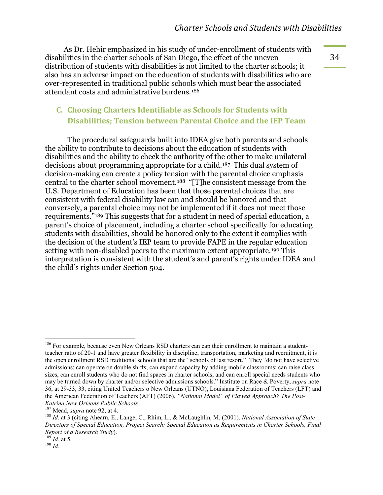As Dr. Hehir emphasized in his study of under-enrollment of students with disabilities in the charter schools of San Diego, the effect of the uneven distribution of students with disabilities is not limited to the charter schools; it also has an adverse impact on the education of students with disabilities who are over-represented in traditional public schools which must bear the associated attendant costs and administrative burdens.[186](#page-35-0)

#### **C.** Choosing Charters Identifiable as Schools for Students with **Disabilities; Tension between Parental Choice and the IEP Team**

The procedural safeguards built into IDEA give both parents and schools the ability to contribute to decisions about the education of students with disabilities and the ability to check the authority of the other to make unilateral decisions about programming appropriate for a child.[187](#page-35-1) This dual system of decision-making can create a policy tension with the parental choice emphasis central to the charter school movement.[188](#page-35-2) "[T]he consistent message from the U.S. Department of Education has been that those parental choices that are consistent with federal disability law can and should be honored and that conversely, a parental choice may not be implemented if it does not meet those requirements."[189](#page-35-3) This suggests that for a student in need of special education, a parent's choice of placement, including a charter school specifically for educating students with disabilities, should be honored only to the extent it complies with the decision of the student's IEP team to provide FAPE in the regular education setting with non-disabled peers to the maximum extent appropriate.<sup>[190](#page-35-4)</sup> This interpretation is consistent with the student's and parent's rights under IDEA and the child's rights under Section 504.

<span id="page-35-0"></span> $186$  For example, because even New Orleans RSD charters can cap their enrollment to maintain a studentteacher ratio of 20-1 and have greater flexibility in discipline, transportation, marketing and recruitment, it is the open enrollment RSD traditional schools that are the "schools of last resort." They "do not have selective admissions; can operate on double shifts; can expand capacity by adding mobile classrooms; can raise class sizes; can enroll students who do not find spaces in charter schools; and can enroll special needs students who may be turned down by charter and/or selective admissions schools." Institute on Race & Poverty, *supra* note 36, at 29-33, 33, citing United Teachers o New Orleans (UTNO), Louisiana Federation of Teachers (LFT) and the American Federation of Teachers (AFT) (2006). *"National Model" of Flawed Approach? The Post-Katrina New Orleans Public Schools.* 

<span id="page-35-2"></span><span id="page-35-1"></span><sup>&</sup>lt;sup>188</sup> Id. at 3 (citing Ahearn, E., Lange, C., Rhim, L., & McLaughlin, M. (2001). *National Association of State Directors of Special Education, Project Search: Special Education as Requirements in Charter Schools, Final Report of a Research Study*). <sup>189</sup> *Id.* at 5*.* <sup>190</sup> *Id.*

<span id="page-35-4"></span><span id="page-35-3"></span>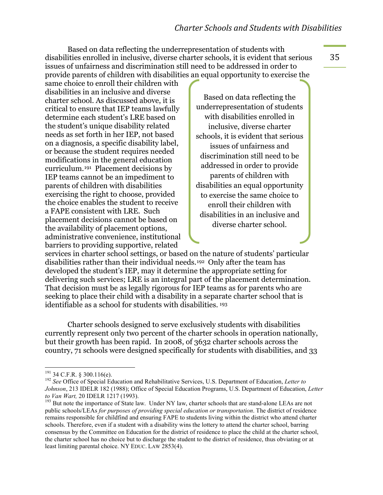Based on data reflecting the underrepresentation of students with disabilities enrolled in inclusive, diverse charter schools, it is evident that serious issues of unfairness and discrimination still need to be addressed in order to provide parents of children with disabilities an equal opportunity to exercise the

same choice to enroll their children with disabilities in an inclusive and diverse charter school. As discussed above, it is critical to ensure that IEP teams lawfully determine each student's LRE based on the student's unique disability related needs as set forth in her IEP, not based on a diagnosis, a specific disability label, or because the student requires needed modifications in the general education curriculum.[191](#page-36-0) Placement decisions by IEP teams cannot be an impediment to parents of children with disabilities exercising the right to choose, provided the choice enables the student to receive a FAPE consistent with LRE. Such placement decisions cannot be based on the availability of placement options, administrative convenience, institutional barriers to providing supportive, related

Based on data reflecting the underrepresentation of students with disabilities enrolled in inclusive, diverse charter schools, it is evident that serious issues of unfairness and discrimination still need to be addressed in order to provide parents of children with disabilities an equal opportunity to exercise the same choice to enroll their children with disabilities in an inclusive and diverse charter school.

services in charter school settings, or based on the nature of students' particular disabilities rather than their individual needs.[192](#page-36-1) Only after the team has developed the student's IEP, may it determine the appropriate setting for delivering such services; LRE is an integral part of the placement determination. That decision must be as legally rigorous for IEP teams as for parents who are seeking to place their child with a disability in a separate charter school that is identifiable as a school for students with disabilities. [193](#page-36-2)

Charter schools designed to serve exclusively students with disabilities currently represent only two percent of the charter schools in operation nationally, but their growth has been rapid. In 2008, of 3632 charter schools across the country, 71 schools were designed specifically for students with disabilities, and 33

<span id="page-36-1"></span><span id="page-36-0"></span><sup>&</sup>lt;sup>191</sup> 34 C.F.R. § 300.116(e).<br><sup>192</sup> *See* Office of Special Education and Rehabilitative Services, U.S. Department of Education, *Letter to Johnson*, 213 IDELR 182 (1988); Office of Special Education Programs, U.S. Department of Education, *Letter* 

<span id="page-36-2"></span><sup>&</sup>lt;sup>193</sup> But note the importance of State law. Under NY law, charter schools that are stand-alone LEAs are not public schools/LEAs *for purposes of providing special education or transportation*. The district of residence remains responsible for childfind and ensuring FAPE to students living within the district who attend charter schools. Therefore, even if a student with a disability wins the lottery to attend the charter school, barring consensus by the Committee on Education for the district of residence to place the child at the charter school, the charter school has no choice but to discharge the student to the district of residence, thus obviating or at least limiting parental choice. NY EDUC. LAW 2853(4).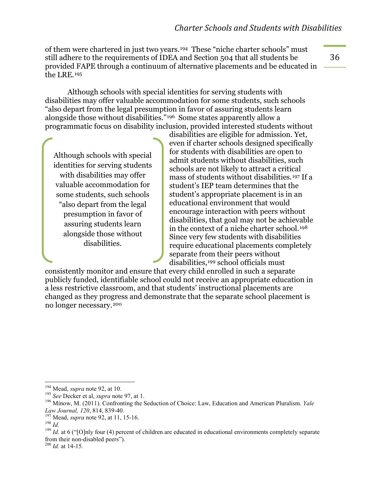of them were chartered in just two years.[194](#page-37-0) These "niche charter schools" must still adhere to the requirements of IDEA and Section 504 that all students be provided FAPE through a continuum of alternative placements and be educated in the LRE.[195](#page-37-1)

Although schools with special identities for serving students with disabilities may offer valuable accommodation for some students, such schools "also depart from the legal presumption in favor of assuring students learn alongside those without disabilities." [196](#page-37-2) Some states apparently allow a programmatic focus on disability inclusion, provided interested students without

Although schools with special identities for serving students with disabilities may offer valuable accommodation for some students, such schools "also depart from the legal presumption in favor of assuring students learn alongside those without disabilities.

disabilities are eligible for admission. Yet, even if charter schools designed specifically for students with disabilities are open to admit students without disabilities, such schools are not likely to attract a critical mass of students without disabilities.[197](#page-37-3) If a student's IEP team determines that the student's appropriate placement is in an educational environment that would encourage interaction with peers without disabilities, that goal may not be achievable in the context of a niche charter school.[198](#page-37-4) Since very few students with disabilities require educational placements completely separate from their peers without disabilities,[199](#page-37-5) school officials must

consistently monitor and ensure that every child enrolled in such a separate publicly funded, identifiable school could not receive an appropriate education in a less restrictive classroom, and that students' instructional placements are changed as they progress and demonstrate that the separate school placement is no longer necessary.[200](#page-37-6)

<span id="page-37-6"></span>

<span id="page-37-0"></span><sup>&</sup>lt;sup>194</sup> Mead, *supra* note 92, at 10.<br><sup>195</sup> See Decker et al, *supra* note 97, at 1.

<span id="page-37-2"></span><span id="page-37-1"></span><sup>&</sup>lt;sup>196</sup> Minow, M. (2011). Confronting the Seduction of Choice: Law, Education and American Pluralism. *Yale Law Journal*, 120, 814, 839-40.

<span id="page-37-5"></span>

<span id="page-37-4"></span><span id="page-37-3"></span><sup>&</sup>lt;sup>197</sup> Mead, *supra* note 92, at 11, 15-16.<br><sup>198</sup> *Id.* **at 6** ("[O]nly four (4) percent of children are educated in educational environments completely separate from their non-disabled peers"). <sup>200</sup> *Id.* at 14-15.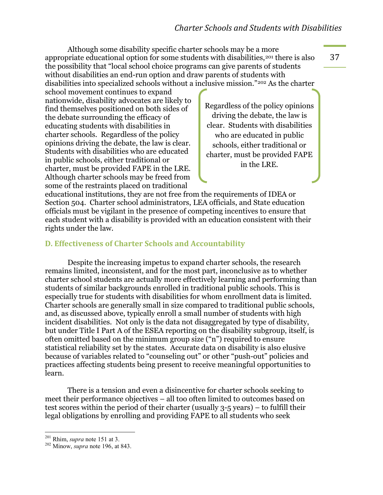Although some disability specific charter schools may be a more appropriate educational option for some students with disabilities,<sup>[201](#page-38-0)</sup> there is also the possibility that "local school choice programs can give parents of students without disabilities an end-run option and draw parents of students with disabilities into specialized schools without a inclusive mission."[202](#page-38-1) As the charter

school movement continues to expand nationwide, disability advocates are likely to find themselves positioned on both sides of the debate surrounding the efficacy of educating students with disabilities in charter schools. Regardless of the policy opinions driving the debate, the law is clear. Students with disabilities who are educated in public schools, either traditional or charter, must be provided FAPE in the LRE. Although charter schools may be freed from some of the restraints placed on traditional

Regardless of the policy opinions driving the debate, the law is clear. Students with disabilities who are educated in public schools, either traditional or charter, must be provided FAPE in the LRE.

educational institutions, they are not free from the requirements of IDEA or Section 504. Charter school administrators, LEA officials, and State education officials must be vigilant in the presence of competing incentives to ensure that each student with a disability is provided with an education consistent with their rights under the law.

#### **D. Effectiveness of Charter Schools and Accountability**

Despite the increasing impetus to expand charter schools, the research remains limited, inconsistent, and for the most part, inconclusive as to whether charter school students are actually more effectively learning and performing than students of similar backgrounds enrolled in traditional public schools. This is especially true for students with disabilities for whom enrollment data is limited. Charter schools are generally small in size compared to traditional public schools, and, as discussed above, typically enroll a small number of students with high incident disabilities. Not only is the data not disaggregated by type of disability, but under Title I Part A of the ESEA reporting on the disability subgroup, itself, is often omitted based on the minimum group size ("n") required to ensure statistical reliability set by the states. Accurate data on disability is also elusive because of variables related to "counseling out" or other "push-out" policies and practices affecting students being present to receive meaningful opportunities to learn.

There is a tension and even a disincentive for charter schools seeking to meet their performance objectives – all too often limited to outcomes based on test scores within the period of their charter (usually 3-5 years) – to fulfill their legal obligations by enrolling and providing FAPE to all students who seek

<span id="page-38-1"></span><span id="page-38-0"></span> $\frac{^{201}}{^{202}}$  Rhim, *supra* note 151 at 3.  $\frac{^{202}}{^{202}}$  Minow, *supra* note 196, at 843.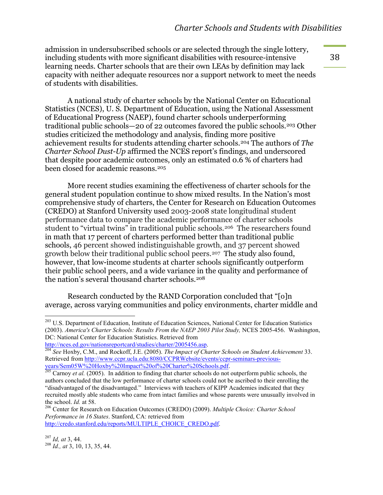admission in undersubscribed schools or are selected through the single lottery, including students with more significant disabilities with resource-intensive learning needs. Charter schools that are their own LEAs by definition may lack capacity with neither adequate resources nor a support network to meet the needs of students with disabilities.

A national study of charter schools by the National Center on Educational Statistics (NCES), U. S. Department of Education, using the National Assessment of Educational Progress (NAEP), found charter schools underperforming traditional public schools—20 of 22 outcomes favored the public schools.[203](#page-39-0) Other studies criticized the methodology and analysis, finding more positive achievement results for students attending charter schools.[204](#page-39-1) The authors of *The Charter School Dust-Up* affirmed the NCES report's findings, and underscored that despite poor academic outcomes, only an estimated 0.6 % of charters had been closed for academic reasons.[205](#page-39-2)

More recent studies examining the effectiveness of charter schools for the general student population continue to show mixed results. In the Nation's most comprehensive study of charters, the Center for Research on Education Outcomes (CREDO) at Stanford University used 2003-2008 state longitudinal student performance data to compare the academic performance of charter schools student to "virtual twins" in traditional public schools.<sup>[206](#page-39-3)</sup> The researchers found in math that 17 percent of charters performed better than traditional public schools, 46 percent showed indistinguishable growth, and 37 percent showed growth below their traditional public school peers.[207](#page-39-4) The study also found, however, that low-income students at charter schools significantly outperform their public school peers, and a wide variance in the quality and performance of the nation's several thousand charter schools.[208](#page-39-5)

Research conducted by the RAND Corporation concluded that "[o]n average, across varying communities and policy environments, charter middle and

<span id="page-39-0"></span> $203$  U.S. Department of Education, Institute of Education Sciences, National Center for Education Statistics (2003). *America's Charter Schools: Results From the NAEP 2003 Pilot Study,* NCES 2005-456. Washington, DC: National Center for Education Statistics. Retrieved from<br>http://nces.ed.gov/nationsreportcard/studies/charter/2005456.asp.

<span id="page-39-1"></span>http://nces.ed.gov/nationsreport.gov/nationsreport/2005). *The Impact of Charter Schools on Student Achievement* 33. Retrieved from http://www.ccpr.ucla.edu:8080/CCPRWebsite/events/ccpr-seminars-previous-<br>vears/Sem05W%20Hoxby%20Impact%20of%20Charter%20Schools.pdf.

<span id="page-39-2"></span>years/Sembo W / 2011 Corp / 2011 Corp 2011 Corp 2011 Care in the charter schools. Do not outperform public schools, the Carnoy *et al.* (2005). In addition to finding that charter schools do not outperform public schools, authors concluded that the low performance of charter schools could not be ascribed to their enrolling the "disadvantaged of the disadvantaged." Interviews with teachers of KIPP Academies indicated that they recruited mostly able students who came from intact families and whose parents were unusually involved in the school. *Id.* at 58.<br><sup>206</sup> Center for Research on Education Outcomes (CREDO) (2009). *Multiple Choice: Charter School* 

<span id="page-39-3"></span>*Performance in 16 States*. Stanford, CA: retrieved from [http://credo.stanford.edu/reports/MULTIPLE\\_CHOICE\\_CREDO.pdf.](http://credo.stanford.edu/reports/MULTIPLE_CHOICE_CREDO.pdf)

<span id="page-39-5"></span><span id="page-39-4"></span><sup>207</sup> *Id, at* 3, 44. <sup>208</sup> *Id., at* 3, 10, 13, 35, 44.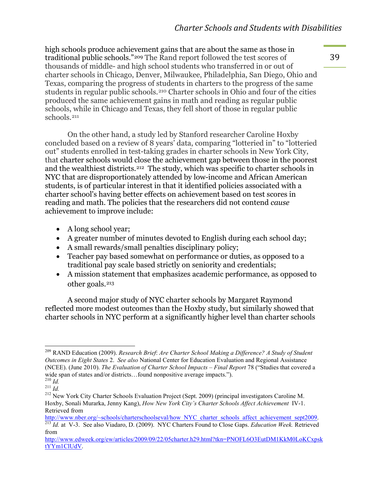high schools produce achievement gains that are about the same as those in traditional public schools."[209](#page-40-0) The Rand report followed the test scores of thousands of middle- and high school students who transferred in or out of charter schools in Chicago, Denver, Milwaukee, Philadelphia, San Diego, Ohio and Texas, comparing the progress of students in charters to the progress of the same students in regular public schools.[210](#page-40-1) Charter schools in Ohio and four of the cities produced the same achievement gains in math and reading as regular public schools, while in Chicago and Texas, they fell short of those in regular public schools.[211](#page-40-2)

On the other hand, a study led by Stanford researcher Caroline Hoxby concluded based on a review of 8 years' data, comparing "lotteried in" to "lotteried out" students enrolled in test-taking grades in charter schools in New York City, that charter schools would close the achievement gap between those in the poorest and the wealthiest districts.[212](#page-40-3) The study, which was specific to charter schools in NYC that are disproportionately attended by low-income and African American students, is of particular interest in that it identified policies associated with a charter school's having better effects on achievement based on test scores in reading and math. The policies that the researchers did not contend *cause*  achievement to improve include:

- $\bullet$  A long school year;
- $\bullet$  A greater number of minutes devoted to English during each school day;
- A small rewards/small penalties disciplinary policy;
- Teacher pay based somewhat on performance or duties, as opposed to a traditional pay scale based strictly on seniority and credentials;
- A mission statement that emphasizes academic performance, as opposed to other goals.[213](#page-40-4)

A second major study of NYC charter schools by Margaret Raymond reflected more modest outcomes than the Hoxby study, but similarly showed that charter schools in NYC perform at a significantly higher level than charter schools

<span id="page-40-0"></span><sup>%%%%%%%%%%%%%%%%%%%%%%%%%%%%%%%%%%%%%%%%%%%%%%%%%%%%%%%%%%</sup> <sup>209</sup> RAND Education (2009). *Research Brief*: *Are Charter School Making a Difference? A Study of Student Outcomes in Eight States* 2. *See also* National Center for Education Evaluation and Regional Assistance (NCEE). (June 2010). *The Evaluation of Charter School Impacts – Final Report* 78 ("Studies that covered a wide span of states and/or districts...found nonpositive average impacts.").  $^{210}$   $_{\rm Id}$ 

<span id="page-40-3"></span><span id="page-40-2"></span><span id="page-40-1"></span><sup>&</sup>lt;sup>211</sup> *Id.*<br><sup>211</sup> *Id.* 212 New York City Charter Schools Evaluation Project (Sept. 2009) (principal investigators Caroline M. Hoxby, Sonali Murarka, Jenny Kang), *How New York City's Charter Schools Affect Achievement* IV-1. Retrieved from<br>http://www.nber.org/~schools/charterschoolseval/how NYC charter schools affect achievement sept2009.

<sup>&</sup>lt;sup>213</sup> Id. at V-3. See also Viadaro, D. (2009). NYC Charters Found to Close Gaps. *Education Week*. Retrieved

<span id="page-40-4"></span>from [http://www.edweek.org/ew/articles/2009/09/22/05charter.h29.html?tkn=PNOFL6O3EutDM1KkM0LoKCxpsk](http://www.edweek.org/ew/articles/2009/09/22/05charter.h29.html?tkn=PNOFL6O3EutDM1KkM0LoKCxpsktYYm1ClUdV)

[tYYm1ClUdV.](http://www.edweek.org/ew/articles/2009/09/22/05charter.h29.html?tkn=PNOFL6O3EutDM1KkM0LoKCxpsktYYm1ClUdV)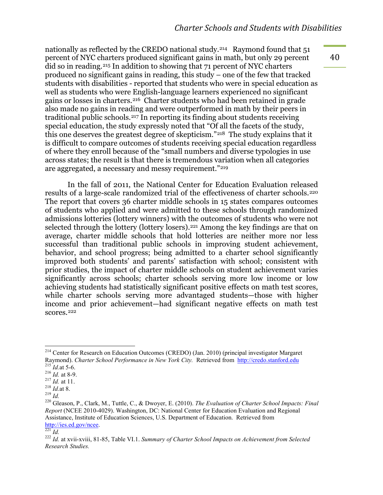nationally as reflected by the CREDO national study.[214](#page-41-0) Raymond found that 51 percent of NYC charters produced significant gains in math, but only 29 percent did so in reading.[215](#page-41-1) In addition to showing that 71 percent of NYC charters produced no significant gains in reading, this study – one of the few that tracked students with disabilities - reported that students who were in special education as well as students who were English-language learners experienced no significant gains or losses in charters.[216](#page-41-2) Charter students who had been retained in grade also made no gains in reading and were outperformed in math by their peers in traditional public schools.[217](#page-41-3) In reporting its finding about students receiving special education, the study expressly noted that "Of all the facets of the study, this one deserves the greatest degree of skepticism."[218](#page-41-4) The study explains that it is difficult to compare outcomes of students receiving special education regardless of where they enroll because of the "small numbers and diverse typologies in use across states; the result is that there is tremendous variation when all categories are aggregated, a necessary and messy requirement."[219](#page-41-5)

In the fall of 2011, the National Center for Education Evaluation released results of a large-scale randomized trial of the effectiveness of charter schools.<sup>[220](#page-41-6)</sup> The report that covers 36 charter middle schools in 15 states compares outcomes of students who applied and were admitted to these schools through randomized admissions lotteries (lottery winners) with the outcomes of students who were not selected through the lottery (lottery losers).[221](#page-41-7) Among the key findings are that on average, charter middle schools that hold lotteries are neither more nor less successful than traditional public schools in improving student achievement, behavior, and school progress; being admitted to a charter school significantly improved both students' and parents' satisfaction with school; consistent with prior studies, the impact of charter middle schools on student achievement varies significantly across schools; charter schools serving more low income or low achieving students had statistically significant positive effects on math test scores, while charter schools serving more advantaged students—those with higher income and prior achievement—had significant negative effects on math test scores.[222](#page-41-8)

<span id="page-41-0"></span> $<sup>214</sup>$  Center for Research on Education Outcomes (CREDO) (Jan. 2010) (principal investigator Margaret</sup> Raymond). *Charter School Performance in New York City*. Retrieved from http://credo.stanford.edu <sup>215</sup> Id.at 5-6.

<span id="page-41-4"></span>

<span id="page-41-6"></span><span id="page-41-5"></span>

<span id="page-41-3"></span><span id="page-41-2"></span><span id="page-41-1"></span><sup>&</sup>lt;sup>216</sup> *Id.* at 8-9.<br>
<sup>217</sup> *Id.* at 11.<br>
<sup>218</sup> *Id.* at 11.<br>
<sup>218</sup> *Id.* at 8.<br>
<sup>218</sup> *Id.* at 8.<br>
<sup>218</sup> *Id.* at 8.<br>
<sup>218</sup> *Id.* at 8.<br>
<sup>218</sup> *Id.* at 8.<br>
<sup>218</sup> *Id.* at 8.<br>
<sup>219</sup> Gleason, P., Clark, M., Tuttle, C., & Dw *Report* (NCEE 2010-4029). Washington, DC: National Center for Education Evaluation and Regional Assistance, Institute of Education Sciences, U.S. Department of Education. Retrieved from http://ies.ed.gov/ncee.

<span id="page-41-8"></span>

<span id="page-41-7"></span>http://*Id.* 221 *Id.* 222 *Id.* at xvii-xviii, 81-85, Table VI.1. *Summary of Charter School Impacts on Achievement from Selected Research Studies.*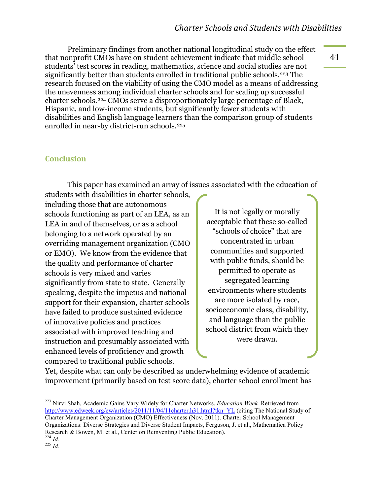Preliminary findings from another national longitudinal study on the effect that nonprofit CMOs have on student achievement indicate that middle school students' test scores in reading, mathematics, science and social studies are not significantly better than students enrolled in traditional public schools.[223](#page-42-0) The research focused on the viability of using the CMO model as a means of addressing the unevenness among individual charter schools and for scaling up successful charter schools.[224](#page-42-1) CMOs serve a disproportionately large percentage of Black, Hispanic, and low-income students, but significantly fewer students with disabilities and English language learners than the comparison group of students enrolled in near-by district-run schools.[225](#page-42-2)

#### **Conclusion**

This paper has examined an array of issues associated with the education of

students with disabilities in charter schools, including those that are autonomous schools functioning as part of an LEA, as an LEA in and of themselves, or as a school belonging to a network operated by an overriding management organization (CMO or EMO). We know from the evidence that the quality and performance of charter schools is very mixed and varies significantly from state to state. Generally speaking, despite the impetus and national support for their expansion, charter schools have failed to produce sustained evidence of innovative policies and practices associated with improved teaching and instruction and presumably associated with enhanced levels of proficiency and growth compared to traditional public schools.

It is not legally or morally acceptable that these so-called "schools of choice" that are concentrated in urban communities and supported with public funds, should be permitted to operate as segregated learning environments where students are more isolated by race, socioeconomic class, disability, and language than the public school district from which they were drawn.

Yet, despite what can only be described as underwhelming evidence of academic improvement (primarily based on test score data), charter school enrollment has

<span id="page-42-0"></span><sup>&</sup>lt;sup>223</sup> Nirvi Shah, Academic Gains Vary Widely for Charter Networks. *Education Week*. Retrieved from <http://www.edweek.org/ew/articles/2011/11/04/11charter.h31.html?tkn=YL> (citing The National Study of Charter Management Organization (CMO) Effectiveness (Nov. 2011). Charter School Management Organizations: Diverse Strategies and Diverse Student Impacts, Ferguson, J. et al., Mathematica Policy Research & Bowen, M. et al., Center on Reinventing Public Education).<br> $^{224}$  *Id.* 

<span id="page-42-2"></span><span id="page-42-1"></span> $^{225}$  *Id.*